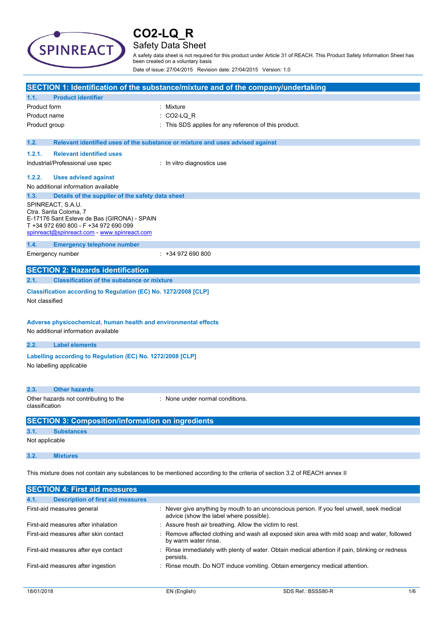

## Safety Data Sheet

A safety data sheet is not required for this product under Article 31 of REACH. This Product Safety Information Sheet has been created on a voluntary basis

Date of issue: 27/04/2015 Revision date: 27/04/2015 Version: 1.0

|                                                                                                                         |                                                                      | SECTION 1: Identification of the substance/mixture and of the company/undertaking |
|-------------------------------------------------------------------------------------------------------------------------|----------------------------------------------------------------------|-----------------------------------------------------------------------------------|
| 1.1.                                                                                                                    | <b>Product identifier</b>                                            |                                                                                   |
| Product form                                                                                                            |                                                                      | : Mixture                                                                         |
| Product name                                                                                                            |                                                                      | CO2-LQ R                                                                          |
| Product group                                                                                                           |                                                                      | : This SDS applies for any reference of this product.                             |
|                                                                                                                         |                                                                      |                                                                                   |
| 1.2.                                                                                                                    |                                                                      | Relevant identified uses of the substance or mixture and uses advised against     |
| 1.2.1.                                                                                                                  | <b>Relevant identified uses</b>                                      |                                                                                   |
|                                                                                                                         | Industrial/Professional use spec                                     | : In vitro diagnostics use                                                        |
| 1.2.2.                                                                                                                  | <b>Uses advised against</b>                                          |                                                                                   |
|                                                                                                                         | No additional information available                                  |                                                                                   |
| 1.3.                                                                                                                    | Details of the supplier of the safety data sheet                     |                                                                                   |
|                                                                                                                         | SPINREACT, S.A.U.                                                    |                                                                                   |
|                                                                                                                         | Ctra. Santa Coloma, 7<br>E-17176 Sant Esteve de Bas (GIRONA) - SPAIN |                                                                                   |
|                                                                                                                         | T +34 972 690 800 - F +34 972 690 099                                |                                                                                   |
|                                                                                                                         | spinreact@spinreact.com - www.spinreact.com                          |                                                                                   |
| 1.4.                                                                                                                    | <b>Emergency telephone number</b>                                    |                                                                                   |
|                                                                                                                         | Emergency number                                                     | $: +34972690800$                                                                  |
|                                                                                                                         | <b>SECTION 2: Hazards identification</b>                             |                                                                                   |
| 2.1.                                                                                                                    | <b>Classification of the substance or mixture</b>                    |                                                                                   |
|                                                                                                                         | Classification according to Regulation (EC) No. 1272/2008 [CLP]      |                                                                                   |
| Not classified                                                                                                          |                                                                      |                                                                                   |
|                                                                                                                         |                                                                      |                                                                                   |
|                                                                                                                         | Adverse physicochemical, human health and environmental effects      |                                                                                   |
|                                                                                                                         | No additional information available                                  |                                                                                   |
|                                                                                                                         |                                                                      |                                                                                   |
| 2.2.                                                                                                                    | <b>Label elements</b>                                                |                                                                                   |
|                                                                                                                         | Labelling according to Regulation (EC) No. 1272/2008 [CLP]           |                                                                                   |
|                                                                                                                         | No labelling applicable                                              |                                                                                   |
|                                                                                                                         |                                                                      |                                                                                   |
| 2.3.                                                                                                                    | <b>Other hazards</b>                                                 |                                                                                   |
|                                                                                                                         | Other hazards not contributing to the                                | : None under normal conditions.                                                   |
| classification                                                                                                          |                                                                      |                                                                                   |
| <b>SECTION 3: Composition/information on ingredients</b>                                                                |                                                                      |                                                                                   |
| 3.1.<br><b>Substances</b>                                                                                               |                                                                      |                                                                                   |
| Not applicable                                                                                                          |                                                                      |                                                                                   |
|                                                                                                                         |                                                                      |                                                                                   |
| 3.2.                                                                                                                    | <b>Mixtures</b>                                                      |                                                                                   |
| This mixture does not contain any substances to be mentioned according to the criteria of section 3.2 of REACH annex II |                                                                      |                                                                                   |
|                                                                                                                         |                                                                      |                                                                                   |
|                                                                                                                         | <b>SECTION 4: First aid measures</b>                                 |                                                                                   |
| 4.1.                                                                                                                    | <b>Description of first aid measures</b>                             |                                                                                   |

| <b>Description of first aid measures</b><br>4.1. |                                                                                                                                      |
|--------------------------------------------------|--------------------------------------------------------------------------------------------------------------------------------------|
| First-aid measures general                       | : Never give anything by mouth to an unconscious person. If you feel unwell, seek medical<br>advice (show the label where possible). |
| First-aid measures after inhalation              | : Assure fresh air breathing. Allow the victim to rest.                                                                              |
| First-aid measures after skin contact            | : Remove affected clothing and wash all exposed skin area with mild soap and water, followed<br>by warm water rinse.                 |
| First-aid measures after eye contact             | : Rinse immediately with plenty of water. Obtain medical attention if pain, blinking or redness<br>persists.                         |
| First-aid measures after ingestion               | : Rinse mouth. Do NOT induce vomiting. Obtain emergency medical attention.                                                           |
|                                                  |                                                                                                                                      |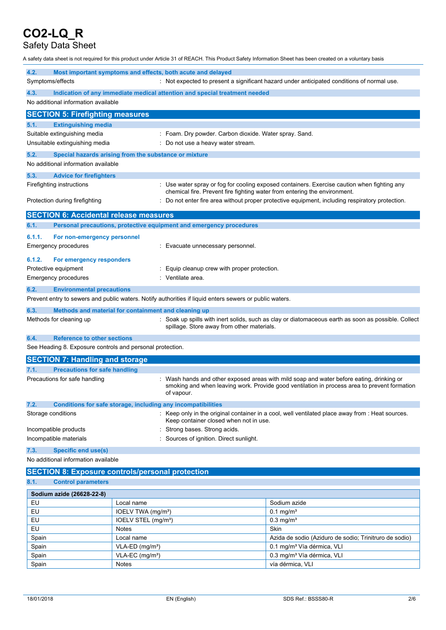## Safety Data Sheet

A safety data sheet is not required for this product under Article 31 of REACH. This Product Safety Information Sheet has been created on a voluntary basis

| 4.2.                                   |                                                           | Most important symptoms and effects, both acute and delayed                                             |                                                                                                                                                                                        |  |
|----------------------------------------|-----------------------------------------------------------|---------------------------------------------------------------------------------------------------------|----------------------------------------------------------------------------------------------------------------------------------------------------------------------------------------|--|
| Symptoms/effects                       |                                                           |                                                                                                         | : Not expected to present a significant hazard under anticipated conditions of normal use.                                                                                             |  |
| 4.3.                                   |                                                           | Indication of any immediate medical attention and special treatment needed                              |                                                                                                                                                                                        |  |
| No additional information available    |                                                           |                                                                                                         |                                                                                                                                                                                        |  |
|                                        | <b>SECTION 5: Firefighting measures</b>                   |                                                                                                         |                                                                                                                                                                                        |  |
| 5.1.                                   | <b>Extinguishing media</b>                                |                                                                                                         |                                                                                                                                                                                        |  |
| Suitable extinguishing media           |                                                           |                                                                                                         | : Foam. Dry powder. Carbon dioxide. Water spray. Sand.                                                                                                                                 |  |
| Unsuitable extinguishing media         |                                                           |                                                                                                         | Do not use a heavy water stream.                                                                                                                                                       |  |
| 5.2.                                   |                                                           | Special hazards arising from the substance or mixture                                                   |                                                                                                                                                                                        |  |
| No additional information available    |                                                           |                                                                                                         |                                                                                                                                                                                        |  |
| 5.3.                                   | <b>Advice for firefighters</b>                            |                                                                                                         |                                                                                                                                                                                        |  |
| Firefighting instructions              |                                                           |                                                                                                         | : Use water spray or fog for cooling exposed containers. Exercise caution when fighting any<br>chemical fire. Prevent fire fighting water from entering the environment.               |  |
| Protection during firefighting         |                                                           |                                                                                                         | Do not enter fire area without proper protective equipment, including respiratory protection.                                                                                          |  |
|                                        | <b>SECTION 6: Accidental release measures</b>             |                                                                                                         |                                                                                                                                                                                        |  |
| 6.1.                                   |                                                           | Personal precautions, protective equipment and emergency procedures                                     |                                                                                                                                                                                        |  |
| 6.1.1.                                 | For non-emergency personnel                               |                                                                                                         |                                                                                                                                                                                        |  |
| Emergency procedures                   |                                                           | Evacuate unnecessary personnel.                                                                         |                                                                                                                                                                                        |  |
| 6.1.2.                                 | For emergency responders                                  |                                                                                                         |                                                                                                                                                                                        |  |
| Protective equipment                   |                                                           | Equip cleanup crew with proper protection.                                                              |                                                                                                                                                                                        |  |
| Emergency procedures                   |                                                           | Ventilate area.                                                                                         |                                                                                                                                                                                        |  |
| 6.2.                                   | <b>Environmental precautions</b>                          |                                                                                                         |                                                                                                                                                                                        |  |
|                                        |                                                           | Prevent entry to sewers and public waters. Notify authorities if liquid enters sewers or public waters. |                                                                                                                                                                                        |  |
| 6.3.                                   |                                                           | Methods and material for containment and cleaning up                                                    |                                                                                                                                                                                        |  |
| Methods for cleaning up                |                                                           | spillage. Store away from other materials.                                                              | : Soak up spills with inert solids, such as clay or diatomaceous earth as soon as possible. Collect                                                                                    |  |
| 6.4.                                   | <b>Reference to other sections</b>                        |                                                                                                         |                                                                                                                                                                                        |  |
|                                        | See Heading 8. Exposure controls and personal protection. |                                                                                                         |                                                                                                                                                                                        |  |
| <b>SECTION 7: Handling and storage</b> |                                                           |                                                                                                         |                                                                                                                                                                                        |  |
| 7.1.                                   | <b>Precautions for safe handling</b>                      |                                                                                                         |                                                                                                                                                                                        |  |
| Precautions for safe handling          |                                                           | of vapour.                                                                                              | Wash hands and other exposed areas with mild soap and water before eating, drinking or<br>smoking and when leaving work. Provide good ventilation in process area to prevent formation |  |
| 7.2.                                   |                                                           | <b>Conditions for safe storage, including any incompatibilities</b>                                     |                                                                                                                                                                                        |  |
| Storage conditions                     |                                                           |                                                                                                         | : Keep only in the original container in a cool, well ventilated place away from : Heat sources.<br>Keep container closed when not in use.                                             |  |
| Incompatible products                  |                                                           |                                                                                                         | Strong bases. Strong acids.                                                                                                                                                            |  |
| Incompatible materials                 |                                                           | Sources of ignition. Direct sunlight.                                                                   |                                                                                                                                                                                        |  |
| <b>Specific end use(s)</b><br>7.3.     |                                                           |                                                                                                         |                                                                                                                                                                                        |  |
| No additional information available    |                                                           |                                                                                                         |                                                                                                                                                                                        |  |
|                                        |                                                           | <b>SECTION 8: Exposure controls/personal protection</b>                                                 |                                                                                                                                                                                        |  |
| 8.1.<br><b>Control parameters</b>      |                                                           |                                                                                                         |                                                                                                                                                                                        |  |
| Sodium azide (26628-22-8)              |                                                           |                                                                                                         |                                                                                                                                                                                        |  |
| EU<br>Local name                       |                                                           |                                                                                                         | Sodium azide                                                                                                                                                                           |  |
| EU                                     |                                                           | IOELV TWA (mg/m <sup>3</sup> )                                                                          | $0.1 \,\mathrm{mg/m^3}$                                                                                                                                                                |  |
| ᄗ                                      |                                                           |                                                                                                         | $0.2$ malm <sup>3</sup>                                                                                                                                                                |  |

| EU    | IOELV STEL (mg/m <sup>3</sup> ) | $0.3 \text{ ma/m}^3$                                   |
|-------|---------------------------------|--------------------------------------------------------|
| EU    | <b>Notes</b>                    | Skin                                                   |
| Spain | Local name                      | Azida de sodio (Aziduro de sodio; Trinitruro de sodio) |
| Spain | $VLA-ED (ma/m3)$                | 0.1 mg/m <sup>3</sup> Vía dérmica, VLI                 |
| Spain | $VLA-EC$ (mg/m <sup>3</sup> )   | 0.3 mg/m <sup>3</sup> Vía dérmica, VLI                 |
| Spain | <b>Notes</b>                    | vía dérmica. VLI                                       |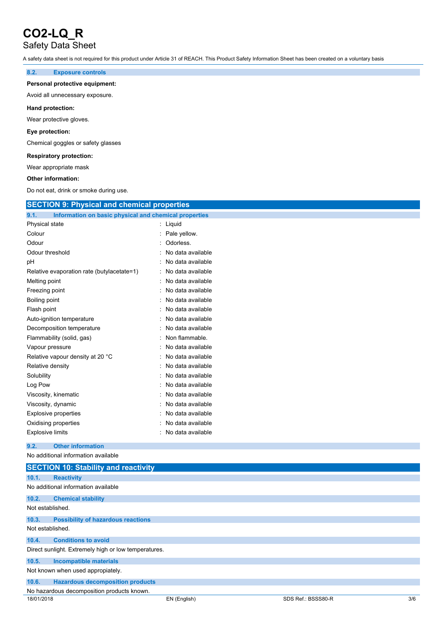## Safety Data Sheet

A safety data sheet is not required for this product under Article 31 of REACH. This Product Safety Information Sheet has been created on a voluntary basis

#### **8.2. Exposure controls**

#### **Personal protective equipment:**

Avoid all unnecessary exposure.

#### **Hand protection:**

Wear protective gloves.

#### **Eye protection:**

Chemical goggles or safety glasses

#### **Respiratory protection:**

Wear appropriate mask

#### **Other information:**

Do not eat, drink or smoke during use.

| <b>SECTION 9: Physical and chemical properties</b>            |                   |  |  |
|---------------------------------------------------------------|-------------------|--|--|
| Information on basic physical and chemical properties<br>9.1. |                   |  |  |
| Physical state                                                | : Liquid          |  |  |
| Colour                                                        | Pale yellow.      |  |  |
| Odour                                                         | Odorless.         |  |  |
| Odour threshold                                               | No data available |  |  |
| pН                                                            | No data available |  |  |
| Relative evaporation rate (butylacetate=1)                    | No data available |  |  |
| Melting point                                                 | No data available |  |  |
| Freezing point                                                | No data available |  |  |
| Boiling point                                                 | No data available |  |  |
| Flash point                                                   | No data available |  |  |
| Auto-ignition temperature                                     | No data available |  |  |
| Decomposition temperature                                     | No data available |  |  |
| Flammability (solid, gas)                                     | Non flammable.    |  |  |
| Vapour pressure                                               | No data available |  |  |
| Relative vapour density at 20 °C                              | No data available |  |  |
| Relative density                                              | No data available |  |  |
| Solubility                                                    | No data available |  |  |
| Log Pow                                                       | No data available |  |  |
| Viscosity, kinematic                                          | No data available |  |  |
| Viscosity, dynamic                                            | No data available |  |  |
| <b>Explosive properties</b>                                   | No data available |  |  |
| Oxidising properties                                          | No data available |  |  |
| <b>Explosive limits</b>                                       | No data available |  |  |
| <b>Other information</b><br>9.2.                              |                   |  |  |
| No additional information available                           |                   |  |  |
| <b>SECTION 10: Stability and reactivity</b>                   |                   |  |  |
| 10.1.<br><b>Reactivity</b>                                    |                   |  |  |
| No additional information available                           |                   |  |  |
| 10.2.<br><b>Chemical stability</b>                            |                   |  |  |
| Not established.                                              |                   |  |  |
| 10.3.<br><b>Possibility of hazardous reactions</b>            |                   |  |  |
| Not established.                                              |                   |  |  |

#### **10.4. Conditions to avoid**

Direct sunlight. Extremely high or low temperatures.

#### **10.5. Incompatible materials**

Not known when used appropiately.

### No hazardous decomposition products known.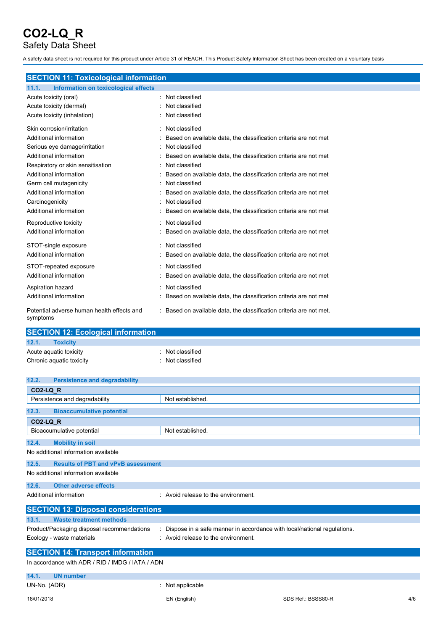Safety Data Sheet

A safety data sheet is not required for this product under Article 31 of REACH. This Product Safety Information Sheet has been created on a voluntary basis

| <b>SECTION 11: Toxicological information</b>           |                                                                     |  |
|--------------------------------------------------------|---------------------------------------------------------------------|--|
| 11.1.<br>Information on toxicological effects          |                                                                     |  |
| Acute toxicity (oral)                                  | : Not classified                                                    |  |
| Acute toxicity (dermal)                                | Not classified                                                      |  |
| Acute toxicity (inhalation)                            | Not classified                                                      |  |
| Skin corrosion/irritation                              | Not classified                                                      |  |
| Additional information                                 | Based on available data, the classification criteria are not met    |  |
| Serious eye damage/irritation                          | Not classified                                                      |  |
| Additional information                                 | Based on available data, the classification criteria are not met    |  |
| Respiratory or skin sensitisation                      | Not classified                                                      |  |
| Additional information                                 | Based on available data, the classification criteria are not met    |  |
| Germ cell mutagenicity                                 | Not classified<br>$\cdot$                                           |  |
| Additional information                                 | Based on available data, the classification criteria are not met    |  |
| Carcinogenicity                                        | Not classified                                                      |  |
| Additional information                                 | Based on available data, the classification criteria are not met    |  |
| Reproductive toxicity                                  | Not classified                                                      |  |
| Additional information                                 | Based on available data, the classification criteria are not met    |  |
| STOT-single exposure                                   | Not classified                                                      |  |
| Additional information                                 | Based on available data, the classification criteria are not met    |  |
| STOT-repeated exposure                                 | Not classified                                                      |  |
| Additional information                                 | Based on available data, the classification criteria are not met    |  |
| Aspiration hazard                                      | Not classified                                                      |  |
| Additional information                                 | Based on available data, the classification criteria are not met    |  |
| Potential adverse human health effects and<br>symptoms | : Based on available data, the classification criteria are not met. |  |

| <b>SECTION 12: Ecological information</b> |                  |  |  |
|-------------------------------------------|------------------|--|--|
| 12.1.<br><b>Toxicity</b>                  |                  |  |  |
| Acute aquatic toxicity                    | : Not classified |  |  |
| Chronic aquatic toxicity                  | : Not classified |  |  |

| <b>Persistence and degradability</b><br>12.2.      |                                                                           |  |  |
|----------------------------------------------------|---------------------------------------------------------------------------|--|--|
| CO2-LQ_R                                           |                                                                           |  |  |
| Persistence and degradability                      | Not established.                                                          |  |  |
| 12.3.<br><b>Bioaccumulative potential</b>          |                                                                           |  |  |
| <b>CO2-LQ_R</b>                                    |                                                                           |  |  |
| Bioaccumulative potential                          | Not established.                                                          |  |  |
| <b>Mobility in soil</b><br>12.4.                   |                                                                           |  |  |
| No additional information available                |                                                                           |  |  |
| 12.5.<br><b>Results of PBT and vPvB assessment</b> |                                                                           |  |  |
| No additional information available                |                                                                           |  |  |
| <b>Other adverse effects</b><br>12.6.              |                                                                           |  |  |
| Additional information                             | : Avoid release to the environment.                                       |  |  |
| <b>SECTION 13: Disposal considerations</b>         |                                                                           |  |  |
| <b>Waste treatment methods</b><br>13.1.            |                                                                           |  |  |
| Product/Packaging disposal recommendations         | : Dispose in a safe manner in accordance with local/national regulations. |  |  |
| Ecology - waste materials                          | : Avoid release to the environment.                                       |  |  |
| <b>SECTION 14: Transport information</b>           |                                                                           |  |  |
| In accordance with ADR / RID / IMDG / IATA / ADN   |                                                                           |  |  |
| 14.1.<br><b>UN number</b>                          |                                                                           |  |  |
| UN-No. (ADR)                                       | : Not applicable                                                          |  |  |
| 18/01/2018                                         | SDS Ref.: BSSS80-R<br>4/6<br>EN (English)                                 |  |  |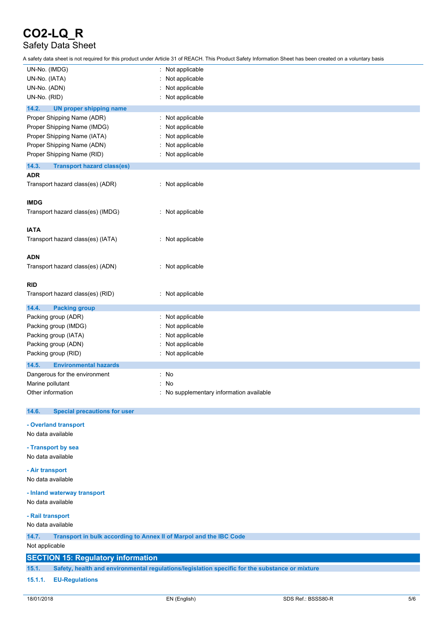## Safety Data Sheet

A safety data sheet is not required for this product under Article 31 of REACH. This Product Safety Information Sheet has been created on a voluntary basis

| UN-No. (IMDG)                                                               | Not applicable                                                                                 |  |
|-----------------------------------------------------------------------------|------------------------------------------------------------------------------------------------|--|
| UN-No. (IATA)                                                               | Not applicable                                                                                 |  |
| UN-No. (ADN)                                                                | Not applicable                                                                                 |  |
| UN-No. (RID)                                                                | Not applicable                                                                                 |  |
| 14.2.                                                                       |                                                                                                |  |
| <b>UN proper shipping name</b>                                              |                                                                                                |  |
| Proper Shipping Name (ADR)                                                  | Not applicable                                                                                 |  |
| Proper Shipping Name (IMDG)                                                 | Not applicable                                                                                 |  |
| Proper Shipping Name (IATA)                                                 | Not applicable                                                                                 |  |
| Proper Shipping Name (ADN)                                                  | Not applicable                                                                                 |  |
| Proper Shipping Name (RID)                                                  | Not applicable                                                                                 |  |
| 14.3.<br><b>Transport hazard class(es)</b>                                  |                                                                                                |  |
| <b>ADR</b>                                                                  |                                                                                                |  |
| Transport hazard class(es) (ADR)                                            | : Not applicable                                                                               |  |
|                                                                             |                                                                                                |  |
| <b>IMDG</b>                                                                 |                                                                                                |  |
| Transport hazard class(es) (IMDG)                                           | : Not applicable                                                                               |  |
|                                                                             |                                                                                                |  |
| <b>IATA</b>                                                                 |                                                                                                |  |
| Transport hazard class(es) (IATA)                                           | : Not applicable                                                                               |  |
|                                                                             |                                                                                                |  |
| <b>ADN</b>                                                                  |                                                                                                |  |
| Transport hazard class(es) (ADN)                                            | : Not applicable                                                                               |  |
|                                                                             |                                                                                                |  |
| RID                                                                         |                                                                                                |  |
| Transport hazard class(es) (RID)                                            | : Not applicable                                                                               |  |
|                                                                             |                                                                                                |  |
| 14.4.<br><b>Packing group</b>                                               |                                                                                                |  |
| Packing group (ADR)                                                         | Not applicable                                                                                 |  |
| Packing group (IMDG)                                                        | Not applicable                                                                                 |  |
| Packing group (IATA)                                                        | Not applicable                                                                                 |  |
| Packing group (ADN)                                                         | Not applicable                                                                                 |  |
| Packing group (RID)                                                         | Not applicable                                                                                 |  |
| 14.5.<br><b>Environmental hazards</b>                                       |                                                                                                |  |
| Dangerous for the environment                                               | No<br>÷                                                                                        |  |
| Marine pollutant                                                            | No                                                                                             |  |
| Other information                                                           | : No supplementary information available                                                       |  |
|                                                                             |                                                                                                |  |
| 14.6.<br><b>Special precautions for user</b>                                |                                                                                                |  |
| - Overland transport                                                        |                                                                                                |  |
| No data available                                                           |                                                                                                |  |
|                                                                             |                                                                                                |  |
| - Transport by sea                                                          |                                                                                                |  |
| No data available                                                           |                                                                                                |  |
| - Air transport                                                             |                                                                                                |  |
| No data available                                                           |                                                                                                |  |
|                                                                             |                                                                                                |  |
| - Inland waterway transport                                                 |                                                                                                |  |
| No data available                                                           |                                                                                                |  |
| - Rail transport                                                            |                                                                                                |  |
| No data available                                                           |                                                                                                |  |
|                                                                             |                                                                                                |  |
| 14.7.<br>Transport in bulk according to Annex II of Marpol and the IBC Code |                                                                                                |  |
| Not applicable                                                              |                                                                                                |  |
| <b>SECTION 15: Regulatory information</b>                                   |                                                                                                |  |
| 15.1.                                                                       | Safety, health and environmental regulations/legislation specific for the substance or mixture |  |
|                                                                             |                                                                                                |  |

#### **15.1.1. EU-Regulations**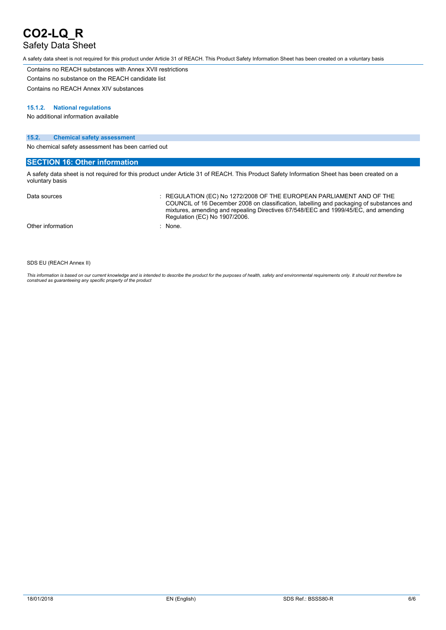## Safety Data Sheet

A safety data sheet is not required for this product under Article 31 of REACH. This Product Safety Information Sheet has been created on a voluntary basis

Contains no REACH substances with Annex XVII restrictions Contains no substance on the REACH candidate list

Contains no REACH Annex XIV substances

#### **15.1.2. National regulations**

No additional information available

#### **15.2. Chemical safety assessment**

No chemical safety assessment has been carried out

#### **SECTION 16: Other information**

A safety data sheet is not required for this product under Article 31 of REACH. This Product Safety Information Sheet has been created on a voluntary basis

| Data sources      | : REGULATION (EC) No 1272/2008 OF THE EUROPEAN PARLIAMENT AND OF THE<br>COUNCIL of 16 December 2008 on classification, labelling and packaging of substances and<br>mixtures, amending and repealing Directives 67/548/EEC and 1999/45/EC, and amending<br>Regulation (EC) No 1907/2006. |
|-------------------|------------------------------------------------------------------------------------------------------------------------------------------------------------------------------------------------------------------------------------------------------------------------------------------|
| Other information | : None.                                                                                                                                                                                                                                                                                  |

#### SDS EU (REACH Annex II)

This information is based on our current knowledge and is intended to describe the product for the purposes of health, safety and environmental requirements only. It should not therefore be<br>construed as guaranteeing any sp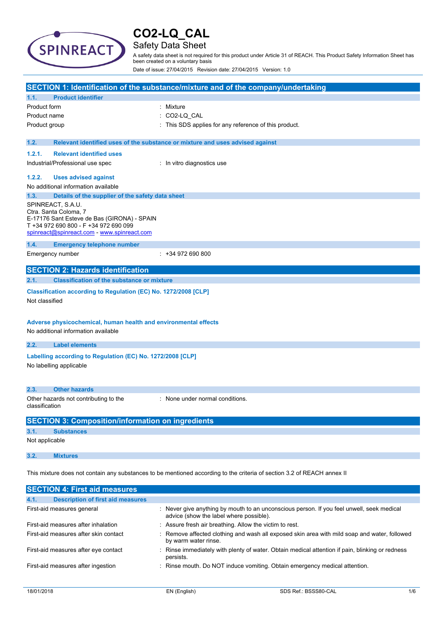

## Safety Data Sheet

A safety data sheet is not required for this product under Article 31 of REACH. This Product Safety Information Sheet has been created on a voluntary basis

Date of issue: 27/04/2015 Revision date: 27/04/2015 Version: 1.0

|                                                                                                                                                                                   |                                                   | SECTION 1: Identification of the substance/mixture and of the company/undertaking |  |
|-----------------------------------------------------------------------------------------------------------------------------------------------------------------------------------|---------------------------------------------------|-----------------------------------------------------------------------------------|--|
| 1.1.                                                                                                                                                                              | <b>Product identifier</b>                         |                                                                                   |  |
| Product form                                                                                                                                                                      |                                                   | : Mixture                                                                         |  |
| Product name                                                                                                                                                                      |                                                   | CO2-LQ CAL                                                                        |  |
| Product group                                                                                                                                                                     |                                                   | This SDS applies for any reference of this product.                               |  |
|                                                                                                                                                                                   |                                                   |                                                                                   |  |
| 1.2.                                                                                                                                                                              |                                                   | Relevant identified uses of the substance or mixture and uses advised against     |  |
| 1.2.1.                                                                                                                                                                            | <b>Relevant identified uses</b>                   |                                                                                   |  |
|                                                                                                                                                                                   | Industrial/Professional use spec                  | : In vitro diagnostics use                                                        |  |
| 1.2.2.                                                                                                                                                                            | <b>Uses advised against</b>                       |                                                                                   |  |
|                                                                                                                                                                                   | No additional information available               |                                                                                   |  |
| 1.3.                                                                                                                                                                              | Details of the supplier of the safety data sheet  |                                                                                   |  |
| SPINREACT, S.A.U.<br>Ctra. Santa Coloma, 7<br>E-17176 Sant Esteve de Bas (GIRONA) - SPAIN<br>T +34 972 690 800 - F +34 972 690 099<br>spinreact@spinreact.com - www.spinreact.com |                                                   |                                                                                   |  |
| 1.4.                                                                                                                                                                              | <b>Emergency telephone number</b>                 |                                                                                   |  |
|                                                                                                                                                                                   | Emergency number                                  | $: +34972690800$                                                                  |  |
|                                                                                                                                                                                   | <b>SECTION 2: Hazards identification</b>          |                                                                                   |  |
| 2.1.                                                                                                                                                                              | <b>Classification of the substance or mixture</b> |                                                                                   |  |
| Classification according to Regulation (EC) No. 1272/2008 [CLP]<br>Not classified                                                                                                 |                                                   |                                                                                   |  |
| Adverse physicochemical, human health and environmental effects<br>No additional information available                                                                            |                                                   |                                                                                   |  |
| 2.2.                                                                                                                                                                              | <b>Label elements</b>                             |                                                                                   |  |
| Labelling according to Regulation (EC) No. 1272/2008 [CLP]<br>No labelling applicable                                                                                             |                                                   |                                                                                   |  |
| 2.3.                                                                                                                                                                              | <b>Other hazards</b>                              |                                                                                   |  |
| : None under normal conditions.<br>Other hazards not contributing to the<br>classification                                                                                        |                                                   |                                                                                   |  |
| <b>SECTION 3: Composition/information on ingredients</b>                                                                                                                          |                                                   |                                                                                   |  |
| 3.1.                                                                                                                                                                              | <b>Substances</b>                                 |                                                                                   |  |
| Not applicable                                                                                                                                                                    |                                                   |                                                                                   |  |
| 3.2.                                                                                                                                                                              | <b>Mixtures</b>                                   |                                                                                   |  |
| This mixture does not contain any substances to be mentioned according to the criteria of section 3.2 of REACH annex II                                                           |                                                   |                                                                                   |  |
|                                                                                                                                                                                   | <b>SECTION 4: First aid measures</b>              |                                                                                   |  |
| 4.1.                                                                                                                                                                              | <b>Description of first aid measures</b>          |                                                                                   |  |

| First-aid measures general            | : Never give anything by mouth to an unconscious person. If you feel unwell, seek medical<br>advice (show the label where possible). |
|---------------------------------------|--------------------------------------------------------------------------------------------------------------------------------------|
| First-aid measures after inhalation   | : Assure fresh air breathing. Allow the victim to rest.                                                                              |
| First-aid measures after skin contact | : Remove affected clothing and wash all exposed skin area with mild soap and water, followed<br>by warm water rinse.                 |
| First-aid measures after eye contact  | : Rinse immediately with plenty of water. Obtain medical attention if pain, blinking or redness<br>persists.                         |
| First-aid measures after ingestion    | : Rinse mouth. Do NOT induce vomiting. Obtain emergency medical attention.                                                           |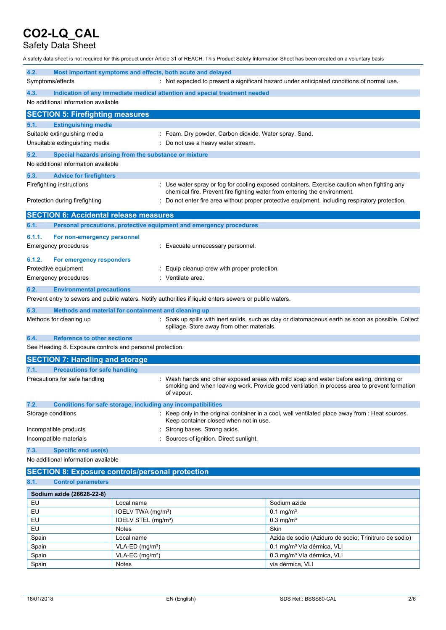## Safety Data Sheet

A safety data sheet is not required for this product under Article 31 of REACH. This Product Safety Information Sheet has been created on a voluntary basis

| 4.2.                                                            |                                                                            | Most important symptoms and effects, both acute and delayed                                             |                                                                                                                                                                                        |  |
|-----------------------------------------------------------------|----------------------------------------------------------------------------|---------------------------------------------------------------------------------------------------------|----------------------------------------------------------------------------------------------------------------------------------------------------------------------------------------|--|
| Symptoms/effects                                                |                                                                            |                                                                                                         | : Not expected to present a significant hazard under anticipated conditions of normal use.                                                                                             |  |
| 4.3.                                                            | Indication of any immediate medical attention and special treatment needed |                                                                                                         |                                                                                                                                                                                        |  |
| No additional information available                             |                                                                            |                                                                                                         |                                                                                                                                                                                        |  |
| <b>SECTION 5: Firefighting measures</b>                         |                                                                            |                                                                                                         |                                                                                                                                                                                        |  |
| <b>Extinguishing media</b><br>5.1.                              |                                                                            |                                                                                                         |                                                                                                                                                                                        |  |
| Suitable extinguishing media                                    |                                                                            | : Foam. Dry powder. Carbon dioxide. Water spray. Sand.                                                  |                                                                                                                                                                                        |  |
| Unsuitable extinguishing media                                  |                                                                            | Do not use a heavy water stream.                                                                        |                                                                                                                                                                                        |  |
| 5.2.                                                            | Special hazards arising from the substance or mixture                      |                                                                                                         |                                                                                                                                                                                        |  |
| No additional information available                             |                                                                            |                                                                                                         |                                                                                                                                                                                        |  |
| 5.3.<br><b>Advice for firefighters</b>                          |                                                                            |                                                                                                         |                                                                                                                                                                                        |  |
| Firefighting instructions                                       |                                                                            | chemical fire. Prevent fire fighting water from entering the environment.                               | : Use water spray or fog for cooling exposed containers. Exercise caution when fighting any                                                                                            |  |
| Protection during firefighting                                  |                                                                            |                                                                                                         | Do not enter fire area without proper protective equipment, including respiratory protection.                                                                                          |  |
| <b>SECTION 6: Accidental release measures</b>                   |                                                                            |                                                                                                         |                                                                                                                                                                                        |  |
| 6.1.                                                            |                                                                            | Personal precautions, protective equipment and emergency procedures                                     |                                                                                                                                                                                        |  |
| 6.1.1.<br>For non-emergency personnel                           |                                                                            |                                                                                                         |                                                                                                                                                                                        |  |
| Emergency procedures                                            |                                                                            | Evacuate unnecessary personnel.                                                                         |                                                                                                                                                                                        |  |
|                                                                 |                                                                            |                                                                                                         |                                                                                                                                                                                        |  |
| 6.1.2.<br>For emergency responders<br>Protective equipment      |                                                                            | Equip cleanup crew with proper protection.                                                              |                                                                                                                                                                                        |  |
| Emergency procedures                                            |                                                                            | Ventilate area.                                                                                         |                                                                                                                                                                                        |  |
|                                                                 |                                                                            |                                                                                                         |                                                                                                                                                                                        |  |
| 6.2.<br><b>Environmental precautions</b>                        |                                                                            | Prevent entry to sewers and public waters. Notify authorities if liquid enters sewers or public waters. |                                                                                                                                                                                        |  |
|                                                                 |                                                                            |                                                                                                         |                                                                                                                                                                                        |  |
| 6.3.                                                            | Methods and material for containment and cleaning up                       |                                                                                                         |                                                                                                                                                                                        |  |
| Methods for cleaning up                                         |                                                                            | spillage. Store away from other materials.                                                              | : Soak up spills with inert solids, such as clay or diatomaceous earth as soon as possible. Collect                                                                                    |  |
| <b>Reference to other sections</b><br>6.4.                      |                                                                            |                                                                                                         |                                                                                                                                                                                        |  |
| See Heading 8. Exposure controls and personal protection.       |                                                                            |                                                                                                         |                                                                                                                                                                                        |  |
| <b>SECTION 7: Handling and storage</b>                          |                                                                            |                                                                                                         |                                                                                                                                                                                        |  |
| <b>Precautions for safe handling</b><br>7.1.                    |                                                                            |                                                                                                         |                                                                                                                                                                                        |  |
| Precautions for safe handling                                   |                                                                            | of vapour.                                                                                              | Wash hands and other exposed areas with mild soap and water before eating, drinking or<br>smoking and when leaving work. Provide good ventilation in process area to prevent formation |  |
| 7.2.                                                            |                                                                            | Conditions for safe storage, including any incompatibilities                                            |                                                                                                                                                                                        |  |
| Storage conditions                                              |                                                                            | Keep container closed when not in use.                                                                  | : Keep only in the original container in a cool, well ventilated place away from : Heat sources.                                                                                       |  |
| Incompatible products                                           |                                                                            | Strong bases. Strong acids.                                                                             |                                                                                                                                                                                        |  |
| Sources of ignition. Direct sunlight.<br>Incompatible materials |                                                                            |                                                                                                         |                                                                                                                                                                                        |  |
| <b>Specific end use(s)</b><br>7.3.                              |                                                                            |                                                                                                         |                                                                                                                                                                                        |  |
| No additional information available                             |                                                                            |                                                                                                         |                                                                                                                                                                                        |  |
| <b>SECTION 8: Exposure controls/personal protection</b>         |                                                                            |                                                                                                         |                                                                                                                                                                                        |  |
| 8.1.<br><b>Control parameters</b>                               |                                                                            |                                                                                                         |                                                                                                                                                                                        |  |
| Sodium azide (26628-22-8)                                       |                                                                            |                                                                                                         |                                                                                                                                                                                        |  |
| EU                                                              | Local name                                                                 |                                                                                                         | Sodium azide                                                                                                                                                                           |  |
| EU                                                              | IOELV TWA (mg/m <sup>3</sup> )                                             |                                                                                                         | $0.1 \,\mathrm{mg/m^3}$                                                                                                                                                                |  |
| EU.                                                             | $IOFIV$ STEL $(mn/m3)$                                                     |                                                                                                         | $0.3$ ma/m <sup>3</sup>                                                                                                                                                                |  |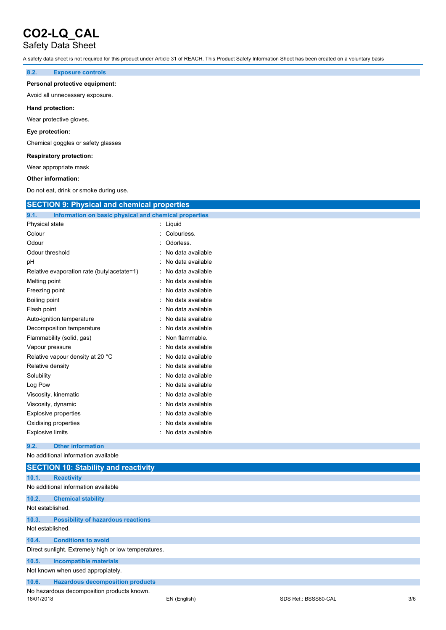## Safety Data Sheet

A safety data sheet is not required for this product under Article 31 of REACH. This Product Safety Information Sheet has been created on a voluntary basis

#### **8.2. Exposure controls**

#### **Personal protective equipment:**

Avoid all unnecessary exposure.

#### **Hand protection:**

Wear protective gloves.

#### **Eye protection:**

Chemical goggles or safety glasses

#### **Respiratory protection:**

Wear appropriate mask

#### **Other information:**

Do not eat, drink or smoke during use.

| <b>SECTION 9: Physical and chemical properties</b>            |                   |
|---------------------------------------------------------------|-------------------|
| 9.1.<br>Information on basic physical and chemical properties |                   |
| Physical state                                                | : Liquid          |
| Colour                                                        | : Colourless.     |
| Odour                                                         | Odorless.         |
| Odour threshold                                               | No data available |
| рH                                                            | No data available |
| Relative evaporation rate (butylacetate=1)                    | No data available |
| Melting point                                                 | No data available |
| Freezing point                                                | No data available |
| Boiling point                                                 | No data available |
| Flash point                                                   | No data available |
| Auto-ignition temperature                                     | No data available |
| Decomposition temperature                                     | No data available |
| Flammability (solid, gas)                                     | Non flammable.    |
| Vapour pressure                                               | No data available |
| Relative vapour density at 20 °C                              | No data available |
| Relative density                                              | No data available |
| Solubility                                                    | No data available |
| Log Pow                                                       | No data available |
| Viscosity, kinematic                                          | No data available |
| Viscosity, dynamic                                            | No data available |
| <b>Explosive properties</b>                                   | No data available |
| Oxidising properties                                          | No data available |
| <b>Explosive limits</b>                                       | No data available |
| 9.2.<br><b>Other information</b>                              |                   |
| No additional information available                           |                   |
| <b>SECTION 10: Stability and reactivity</b>                   |                   |

| 10.1.            | <b>Reactivity</b>                                    |
|------------------|------------------------------------------------------|
|                  | No additional information available                  |
| 10.2.            | <b>Chemical stability</b>                            |
| Not established. |                                                      |
| 10.3.            | <b>Possibility of hazardous reactions</b>            |
| Not established. |                                                      |
| 10.4.            | <b>Conditions to avoid</b>                           |
|                  | Direct sunlight. Extremely high or low temperatures. |
| 10.5.            | Incompatible materials                               |
|                  | Not known when used appropiately.                    |
| 10.6.            | <b>Hazardous decomposition products</b>              |
|                  | No hazardous decomposition products known.           |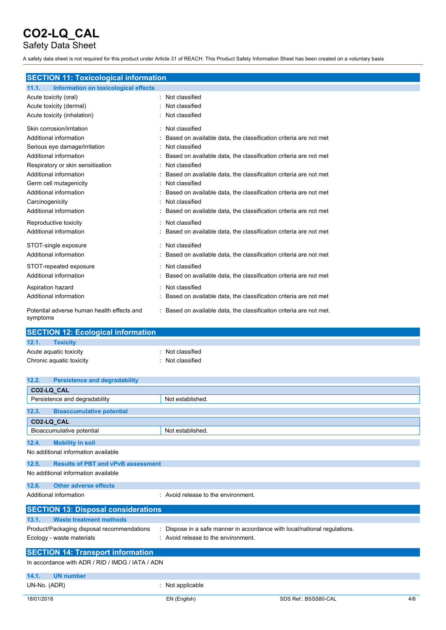## Safety Data Sheet

A safety data sheet is not required for this product under Article 31 of REACH. This Product Safety Information Sheet has been created on a voluntary basis

|  | <b>SECTION 11: Toxicological information</b> |
|--|----------------------------------------------|
|  |                                              |

| Information on toxicological effects<br>11.1.          |                                                                     |
|--------------------------------------------------------|---------------------------------------------------------------------|
| Acute toxicity (oral)                                  | Not classified<br>٠                                                 |
| Acute toxicity (dermal)                                | Not classified                                                      |
| Acute toxicity (inhalation)                            | Not classified                                                      |
| Skin corrosion/irritation                              | Not classified                                                      |
| Additional information                                 | Based on available data, the classification criteria are not met    |
| Serious eye damage/irritation                          | Not classified                                                      |
| Additional information                                 | Based on available data, the classification criteria are not met    |
| Respiratory or skin sensitisation                      | Not classified                                                      |
| Additional information                                 | Based on available data, the classification criteria are not met    |
| Germ cell mutagenicity                                 | Not classified                                                      |
| Additional information                                 | Based on available data, the classification criteria are not met    |
| Carcinogenicity                                        | Not classified                                                      |
| Additional information                                 | Based on available data, the classification criteria are not met    |
| Reproductive toxicity                                  | : Not classified                                                    |
| Additional information                                 | Based on available data, the classification criteria are not met    |
| STOT-single exposure                                   | Not classified                                                      |
| Additional information                                 | Based on available data, the classification criteria are not met    |
| STOT-repeated exposure                                 | Not classified                                                      |
| Additional information                                 | Based on available data, the classification criteria are not met    |
| Aspiration hazard                                      | Not classified                                                      |
| Additional information                                 | Based on available data, the classification criteria are not met    |
| Potential adverse human health effects and<br>symptoms | : Based on available data, the classification criteria are not met. |

| <b>SECTION 12: Ecological information</b> |                  |
|-------------------------------------------|------------------|
| 12.1.<br><b>Toxicity</b>                  |                  |
| Acute aguatic toxicity                    | : Not classified |
| Chronic aquatic toxicity                  | Not classified   |

| 12.2.        | <b>Persistence and degradability</b>             |                                                                         |     |
|--------------|--------------------------------------------------|-------------------------------------------------------------------------|-----|
|              | CO2-LQ CAL                                       |                                                                         |     |
|              | Persistence and degradability                    | Not established.                                                        |     |
| 12.3.        | <b>Bioaccumulative potential</b>                 |                                                                         |     |
|              | CO2-LQ CAL                                       |                                                                         |     |
|              | Bioaccumulative potential                        | Not established.                                                        |     |
| 12.4.        | <b>Mobility in soil</b>                          |                                                                         |     |
|              | No additional information available              |                                                                         |     |
| 12.5.        | <b>Results of PBT and vPvB assessment</b>        |                                                                         |     |
|              | No additional information available              |                                                                         |     |
| 12.6.        | <b>Other adverse effects</b>                     |                                                                         |     |
|              | Additional information                           | Avoid release to the environment.                                       |     |
|              | <b>SECTION 13: Disposal considerations</b>       |                                                                         |     |
| 13.1.        | <b>Waste treatment methods</b>                   |                                                                         |     |
|              | Product/Packaging disposal recommendations       | Dispose in a safe manner in accordance with local/national regulations. |     |
|              | Ecology - waste materials                        | : Avoid release to the environment.                                     |     |
|              | <b>SECTION 14: Transport information</b>         |                                                                         |     |
|              | In accordance with ADR / RID / IMDG / IATA / ADN |                                                                         |     |
| 14.1.        | <b>UN number</b>                                 |                                                                         |     |
| UN-No. (ADR) |                                                  | Not applicable                                                          |     |
| 18/01/2018   |                                                  | SDS Ref.: BSSS80-CAL<br>EN (English)                                    | 4/6 |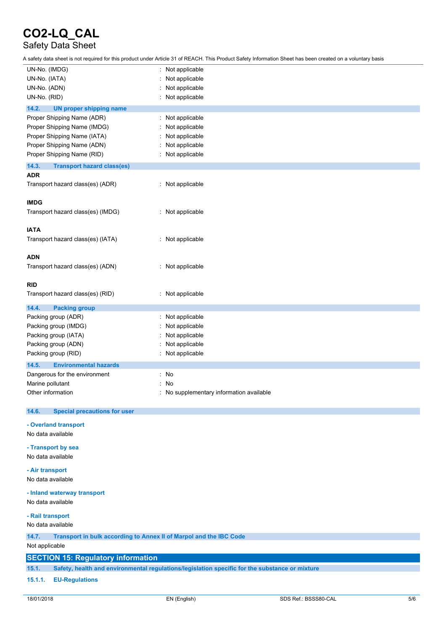## Safety Data Sheet

A safety data sheet is not required for this product under Article 31 of REACH. This Product Safety Information Sheet has been created on a voluntary basis

| UN-No. (IMDG)                                                               | : Not applicable                         |
|-----------------------------------------------------------------------------|------------------------------------------|
| UN-No. (IATA)                                                               | Not applicable                           |
| UN-No. (ADN)                                                                | Not applicable                           |
| UN-No. (RID)                                                                | Not applicable                           |
| 14.2.<br><b>UN proper shipping name</b>                                     |                                          |
| Proper Shipping Name (ADR)                                                  | Not applicable                           |
| Proper Shipping Name (IMDG)                                                 | Not applicable                           |
| Proper Shipping Name (IATA)                                                 | Not applicable                           |
| Proper Shipping Name (ADN)                                                  | Not applicable                           |
| Proper Shipping Name (RID)                                                  | Not applicable                           |
| 14.3.<br><b>Transport hazard class(es)</b>                                  |                                          |
| <b>ADR</b>                                                                  |                                          |
| Transport hazard class(es) (ADR)                                            | : Not applicable                         |
|                                                                             |                                          |
| <b>IMDG</b>                                                                 |                                          |
| Transport hazard class(es) (IMDG)                                           | : Not applicable                         |
|                                                                             |                                          |
| <b>IATA</b>                                                                 |                                          |
| Transport hazard class(es) (IATA)                                           | : Not applicable                         |
|                                                                             |                                          |
| <b>ADN</b>                                                                  |                                          |
| Transport hazard class(es) (ADN)                                            | : Not applicable                         |
|                                                                             |                                          |
| <b>RID</b>                                                                  |                                          |
| Transport hazard class(es) (RID)                                            | : Not applicable                         |
| 14.4.<br><b>Packing group</b>                                               |                                          |
| Packing group (ADR)                                                         | Not applicable                           |
| Packing group (IMDG)                                                        | Not applicable                           |
| Packing group (IATA)                                                        | Not applicable                           |
| Packing group (ADN)                                                         | Not applicable                           |
| Packing group (RID)                                                         | Not applicable                           |
|                                                                             |                                          |
| 14.5.<br><b>Environmental hazards</b>                                       |                                          |
| Dangerous for the environment                                               | : No                                     |
| Marine pollutant                                                            | No                                       |
| Other information                                                           | : No supplementary information available |
| <b>Special precautions for user</b><br>14.6.                                |                                          |
|                                                                             |                                          |
| - Overland transport                                                        |                                          |
| No data available                                                           |                                          |
| - Transport by sea                                                          |                                          |
| No data available                                                           |                                          |
|                                                                             |                                          |
| - Air transport                                                             |                                          |
| No data available                                                           |                                          |
| - Inland waterway transport                                                 |                                          |
| No data available                                                           |                                          |
|                                                                             |                                          |
| - Rail transport                                                            |                                          |
| No data available                                                           |                                          |
| Transport in bulk according to Annex II of Marpol and the IBC Code<br>14.7. |                                          |
| Not applicable                                                              |                                          |
| <b>SECTION 15: Poquiatory information</b>                                   |                                          |

#### **SECTION 15: Regulatory information**

**15.1. Safety, health and environmental regulations/legislation specific for the substance or mixture**

#### **15.1.1. EU-Regulations**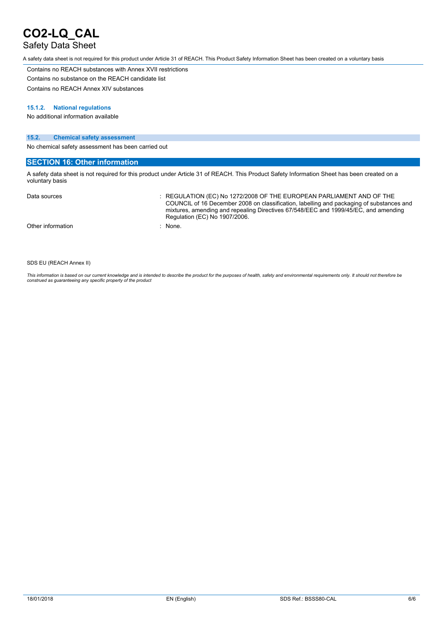## Safety Data Sheet

A safety data sheet is not required for this product under Article 31 of REACH. This Product Safety Information Sheet has been created on a voluntary basis

Contains no REACH substances with Annex XVII restrictions Contains no substance on the REACH candidate list

Contains no REACH Annex XIV substances

#### **15.1.2. National regulations**

No additional information available

#### **15.2. Chemical safety assessment**

No chemical safety assessment has been carried out

#### **SECTION 16: Other information**

A safety data sheet is not required for this product under Article 31 of REACH. This Product Safety Information Sheet has been created on a voluntary basis

| Data sources      | $\therefore$ REGULATION (EC) No 1272/2008 OF THE EUROPEAN PARLIAMENT AND OF THE<br>COUNCIL of 16 December 2008 on classification, labelling and packaging of substances and<br>mixtures, amending and repealing Directives 67/548/EEC and 1999/45/EC, and amending<br>Regulation (EC) No 1907/2006. |
|-------------------|-----------------------------------------------------------------------------------------------------------------------------------------------------------------------------------------------------------------------------------------------------------------------------------------------------|
| Other information | : None.                                                                                                                                                                                                                                                                                             |

#### SDS EU (REACH Annex II)

This information is based on our current knowledge and is intended to describe the product for the purposes of health, safety and environmental requirements only. It should not therefore be<br>construed as guaranteeing any sp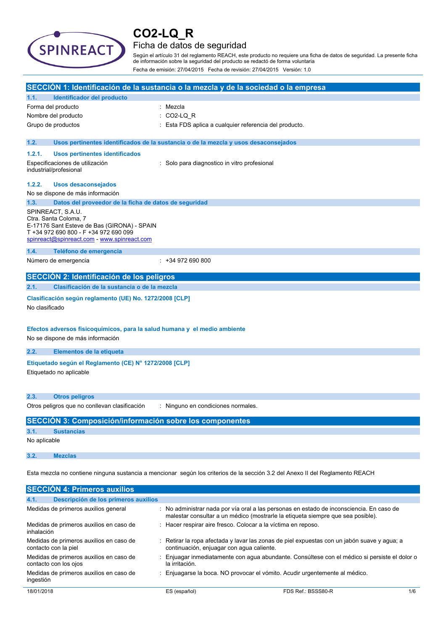

### Ficha de datos de seguridad

Según el artículo 31 del reglamento REACH, este producto no requiere una ficha de datos de seguridad. La presente ficha de información sobre la seguridad del producto se redactó de forma voluntaria Fecha de emisión: 27/04/2015 Fecha de revisión: 27/04/2015 Versión: 1.0

|                |                                                                                                                                                                                   | SECCIÓN 1: Identificación de la sustancia o la mezcla y de la sociedad o la empresa                                                                                         |
|----------------|-----------------------------------------------------------------------------------------------------------------------------------------------------------------------------------|-----------------------------------------------------------------------------------------------------------------------------------------------------------------------------|
| 1.1.           | Identificador del producto                                                                                                                                                        |                                                                                                                                                                             |
|                | Forma del producto                                                                                                                                                                | : Mezcla                                                                                                                                                                    |
|                | Nombre del producto                                                                                                                                                               | CO2-LQ_R                                                                                                                                                                    |
|                | Grupo de productos                                                                                                                                                                | : Esta FDS aplica a cualquier referencia del producto.                                                                                                                      |
| 1.2.           |                                                                                                                                                                                   | Usos pertinentes identificados de la sustancia o de la mezcla y usos desaconsejados                                                                                         |
| 1.2.1.         | <b>Usos pertinentes identificados</b>                                                                                                                                             |                                                                                                                                                                             |
|                | Especificaciones de utilización<br>industrial/profesional                                                                                                                         | : Solo para diagnostico in vitro profesional                                                                                                                                |
| 1.2.2.         | <b>Usos desaconsejados</b>                                                                                                                                                        |                                                                                                                                                                             |
|                | No se dispone de más información                                                                                                                                                  |                                                                                                                                                                             |
| 1.3.           | Datos del proveedor de la ficha de datos de seguridad                                                                                                                             |                                                                                                                                                                             |
|                | SPINREACT, S.A.U.<br>Ctra. Santa Coloma, 7<br>E-17176 Sant Esteve de Bas (GIRONA) - SPAIN<br>T +34 972 690 800 - F +34 972 690 099<br>spinreact@spinreact.com - www.spinreact.com |                                                                                                                                                                             |
| 1.4.           | Teléfono de emergencia                                                                                                                                                            |                                                                                                                                                                             |
|                | Número de emergencia                                                                                                                                                              | $: +34972690800$                                                                                                                                                            |
|                | SECCIÓN 2: Identificación de los peligros                                                                                                                                         |                                                                                                                                                                             |
| 2.1.           | Clasificación de la sustancia o de la mezcla                                                                                                                                      |                                                                                                                                                                             |
| No clasificado | Clasificación según reglamento (UE) No. 1272/2008 [CLP]                                                                                                                           |                                                                                                                                                                             |
|                | Efectos adversos fisicoquímicos, para la salud humana y el medio ambiente<br>No se dispone de más información                                                                     |                                                                                                                                                                             |
| 2.2.           | Elementos de la etiqueta                                                                                                                                                          |                                                                                                                                                                             |
|                | Etiquetado según el Reglamento (CE) Nº 1272/2008 [CLP]<br>Etiquetado no aplicable                                                                                                 |                                                                                                                                                                             |
| 2.3.           | <b>Otros peligros</b>                                                                                                                                                             |                                                                                                                                                                             |
|                | Otros peligros que no conllevan clasificación                                                                                                                                     | : Ninguno en condiciones normales.                                                                                                                                          |
|                | SECCIÓN 3: Composición/información sobre los componentes                                                                                                                          |                                                                                                                                                                             |
| 3.1.           | <b>Sustancias</b>                                                                                                                                                                 |                                                                                                                                                                             |
| No aplicable   |                                                                                                                                                                                   |                                                                                                                                                                             |
| 3.2.           | <b>Mezclas</b>                                                                                                                                                                    |                                                                                                                                                                             |
|                |                                                                                                                                                                                   | Esta mezcla no contiene ninguna sustancia a mencionar según los criterios de la sección 3.2 del Anexo II del Reglamento REACH                                               |
|                | <b>SECCIÓN 4: Primeros auxilios</b>                                                                                                                                               |                                                                                                                                                                             |
| 4.1.           | Descripción de los primeros auxilios                                                                                                                                              |                                                                                                                                                                             |
|                | Medidas de primeros auxilios general                                                                                                                                              | : No administrar nada por vía oral a las personas en estado de inconsciencia. En caso de<br>malestar consultar a un médico (mostrarle la etiqueta siempre que sea posible). |
| inhalación     | Medidas de primeros auxilios en caso de                                                                                                                                           | : Hacer respirar aire fresco. Colocar a la víctima en reposo.                                                                                                               |
|                | Medidas de primeros auxilios en caso de<br>contacto con la piel                                                                                                                   | : Retirar la ropa afectada y lavar las zonas de piel expuestas con un jabón suave y agua; a<br>continuación, eniuagar con agua caliente.                                    |

Medidas de primeros auxilios en caso de : Enjuagar inmediatamente con agua abundante. Consúltese con el médico si persiste el dolor o la irritación.

Medidas de primeros auxilios en caso de : Enjuagarse la boca. NO provocar el vómito. Acudir urgentemente al médico.

contacto con los ojos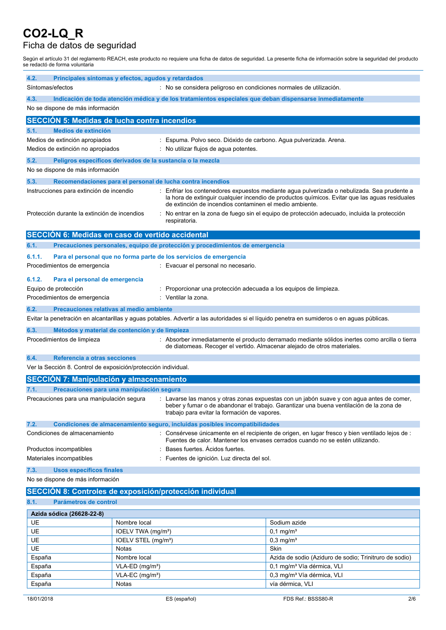## Ficha de datos de seguridad

Según el artículo 31 del reglamento REACH, este producto no requiere una ficha de datos de seguridad. La presente ficha de información sobre la seguridad del producto se redactó de forma voluntaria

| 4.2.                                                                                                                                                 | Principales síntomas y efectos, agudos y retardados<br>Síntomas/efectos                                                                                                                                                                                                           |                                 |                                                                                                                                                                                                                                                        |                                                                                                                                             |  |
|------------------------------------------------------------------------------------------------------------------------------------------------------|-----------------------------------------------------------------------------------------------------------------------------------------------------------------------------------------------------------------------------------------------------------------------------------|---------------------------------|--------------------------------------------------------------------------------------------------------------------------------------------------------------------------------------------------------------------------------------------------------|---------------------------------------------------------------------------------------------------------------------------------------------|--|
|                                                                                                                                                      | : No se considera peligroso en condiciones normales de utilización.                                                                                                                                                                                                               |                                 |                                                                                                                                                                                                                                                        |                                                                                                                                             |  |
| Indicación de toda atención médica y de los tratamientos especiales que deban dispensarse inmediatamente<br>4.3.<br>No se dispone de más información |                                                                                                                                                                                                                                                                                   |                                 |                                                                                                                                                                                                                                                        |                                                                                                                                             |  |
|                                                                                                                                                      | <b>SECCION 5: Medidas de lucha contra incendios</b>                                                                                                                                                                                                                               |                                 |                                                                                                                                                                                                                                                        |                                                                                                                                             |  |
| 5.1.                                                                                                                                                 | <b>Medios de extinción</b>                                                                                                                                                                                                                                                        |                                 |                                                                                                                                                                                                                                                        |                                                                                                                                             |  |
|                                                                                                                                                      | Medios de extinción apropiados                                                                                                                                                                                                                                                    |                                 | : Espuma. Polvo seco. Dióxido de carbono. Agua pulverizada. Arena.                                                                                                                                                                                     |                                                                                                                                             |  |
|                                                                                                                                                      | Medios de extinción no apropiados                                                                                                                                                                                                                                                 |                                 | : No utilizar flujos de agua potentes.                                                                                                                                                                                                                 |                                                                                                                                             |  |
| 5.2.                                                                                                                                                 | Peligros específicos derivados de la sustancia o la mezcla                                                                                                                                                                                                                        |                                 |                                                                                                                                                                                                                                                        |                                                                                                                                             |  |
|                                                                                                                                                      | No se dispone de más información                                                                                                                                                                                                                                                  |                                 |                                                                                                                                                                                                                                                        |                                                                                                                                             |  |
| 5.3.                                                                                                                                                 |                                                                                                                                                                                                                                                                                   |                                 | Recomendaciones para el personal de lucha contra incendios                                                                                                                                                                                             |                                                                                                                                             |  |
| Instrucciones para extinción de incendio                                                                                                             |                                                                                                                                                                                                                                                                                   |                                 | Enfriar los contenedores expuestos mediante agua pulverizada o nebulizada. Sea prudente a<br>la hora de extinguir cualquier incendio de productos químicos. Evitar que las aguas residuales<br>de extinción de incendios contaminen el medio ambiente. |                                                                                                                                             |  |
|                                                                                                                                                      | Protección durante la extinción de incendios                                                                                                                                                                                                                                      |                                 | respiratoria.                                                                                                                                                                                                                                          | No entrar en la zona de fuego sin el equipo de protección adecuado, incluida la protección                                                  |  |
|                                                                                                                                                      | SECCIÓN 6: Medidas en caso de vertido accidental                                                                                                                                                                                                                                  |                                 |                                                                                                                                                                                                                                                        |                                                                                                                                             |  |
| 6.1.                                                                                                                                                 |                                                                                                                                                                                                                                                                                   |                                 | Precauciones personales, equipo de protección y procedimientos de emergencia                                                                                                                                                                           |                                                                                                                                             |  |
| 6.1.1.                                                                                                                                               |                                                                                                                                                                                                                                                                                   |                                 | Para el personal que no forma parte de los servicios de emergencia                                                                                                                                                                                     |                                                                                                                                             |  |
|                                                                                                                                                      | Procedimientos de emergencia                                                                                                                                                                                                                                                      |                                 | : Evacuar el personal no necesario.                                                                                                                                                                                                                    |                                                                                                                                             |  |
| 6.1.2.                                                                                                                                               | Para el personal de emergencia                                                                                                                                                                                                                                                    |                                 |                                                                                                                                                                                                                                                        |                                                                                                                                             |  |
|                                                                                                                                                      | Equipo de protección                                                                                                                                                                                                                                                              |                                 | Proporcionar una protección adecuada a los equipos de limpieza.                                                                                                                                                                                        |                                                                                                                                             |  |
|                                                                                                                                                      | Procedimientos de emergencia                                                                                                                                                                                                                                                      |                                 | : Ventilar la zona.                                                                                                                                                                                                                                    |                                                                                                                                             |  |
| 6.2.                                                                                                                                                 | Precauciones relativas al medio ambiente                                                                                                                                                                                                                                          |                                 |                                                                                                                                                                                                                                                        |                                                                                                                                             |  |
|                                                                                                                                                      |                                                                                                                                                                                                                                                                                   |                                 |                                                                                                                                                                                                                                                        | Evitar la penetración en alcantarillas y aguas potables. Advertir a las autoridades si el líquido penetra en sumideros o en aguas públicas. |  |
| 6.3.                                                                                                                                                 | Métodos y material de contención y de limpieza                                                                                                                                                                                                                                    |                                 |                                                                                                                                                                                                                                                        |                                                                                                                                             |  |
|                                                                                                                                                      | Procedimientos de limpieza<br>: Absorber inmediatamente el producto derramado mediante sólidos inertes como arcilla o tierra<br>de diatomeas. Recoger el vertido. Almacenar alejado de otros materiales.                                                                          |                                 |                                                                                                                                                                                                                                                        |                                                                                                                                             |  |
| 6.4.                                                                                                                                                 | Referencia a otras secciones                                                                                                                                                                                                                                                      |                                 |                                                                                                                                                                                                                                                        |                                                                                                                                             |  |
|                                                                                                                                                      | Ver la Sección 8. Control de exposición/protección individual.                                                                                                                                                                                                                    |                                 |                                                                                                                                                                                                                                                        |                                                                                                                                             |  |
|                                                                                                                                                      | <b>SECCIÓN 7: Manipulación y almacenamiento</b>                                                                                                                                                                                                                                   |                                 |                                                                                                                                                                                                                                                        |                                                                                                                                             |  |
| 7.1.                                                                                                                                                 | Precauciones para una manipulación segura                                                                                                                                                                                                                                         |                                 |                                                                                                                                                                                                                                                        |                                                                                                                                             |  |
|                                                                                                                                                      | Precauciones para una manipulación segura<br>: Lavarse las manos y otras zonas expuestas con un jabón suave y con agua antes de comer,<br>beber y fumar o de abandonar el trabajo. Garantizar una buena ventilación de la zona de<br>trabajo para evitar la formación de vapores. |                                 |                                                                                                                                                                                                                                                        |                                                                                                                                             |  |
| 7.2.                                                                                                                                                 |                                                                                                                                                                                                                                                                                   |                                 | Condiciones de almacenamiento seguro, incluidas posibles incompatibilidades                                                                                                                                                                            |                                                                                                                                             |  |
|                                                                                                                                                      | Condiciones de almacenamiento                                                                                                                                                                                                                                                     |                                 | Consérvese únicamente en el recipiente de origen, en lugar fresco y bien ventilado lejos de :<br>Fuentes de calor. Mantener los envases cerrados cuando no se estén utilizando.                                                                        |                                                                                                                                             |  |
|                                                                                                                                                      | Productos incompatibles                                                                                                                                                                                                                                                           |                                 | Bases fuertes. Acidos fuertes.                                                                                                                                                                                                                         |                                                                                                                                             |  |
|                                                                                                                                                      | Materiales incompatibles                                                                                                                                                                                                                                                          |                                 | Fuentes de ignición. Luz directa del sol.                                                                                                                                                                                                              |                                                                                                                                             |  |
| 7.3.                                                                                                                                                 | Usos específicos finales                                                                                                                                                                                                                                                          |                                 |                                                                                                                                                                                                                                                        |                                                                                                                                             |  |
| No se dispone de más información                                                                                                                     |                                                                                                                                                                                                                                                                                   |                                 |                                                                                                                                                                                                                                                        |                                                                                                                                             |  |
| SECCIÓN 8: Controles de exposición/protección individual                                                                                             |                                                                                                                                                                                                                                                                                   |                                 |                                                                                                                                                                                                                                                        |                                                                                                                                             |  |
| 8.1.<br>Parámetros de control                                                                                                                        |                                                                                                                                                                                                                                                                                   |                                 |                                                                                                                                                                                                                                                        |                                                                                                                                             |  |
| Azida sódica (26628-22-8)                                                                                                                            |                                                                                                                                                                                                                                                                                   |                                 |                                                                                                                                                                                                                                                        |                                                                                                                                             |  |
| UE                                                                                                                                                   |                                                                                                                                                                                                                                                                                   | Nombre local                    |                                                                                                                                                                                                                                                        | Sodium azide                                                                                                                                |  |
| UE                                                                                                                                                   |                                                                                                                                                                                                                                                                                   | IOELV TWA (mg/m <sup>3</sup> )  |                                                                                                                                                                                                                                                        | $0,1$ mg/m <sup>3</sup>                                                                                                                     |  |
| UE                                                                                                                                                   |                                                                                                                                                                                                                                                                                   | IOELV STEL (mg/m <sup>3</sup> ) |                                                                                                                                                                                                                                                        | $0,3$ mg/m <sup>3</sup>                                                                                                                     |  |
| UE                                                                                                                                                   |                                                                                                                                                                                                                                                                                   | Notas                           |                                                                                                                                                                                                                                                        | Skin                                                                                                                                        |  |
| España                                                                                                                                               |                                                                                                                                                                                                                                                                                   | Nombre local                    |                                                                                                                                                                                                                                                        | Azida de sodio (Aziduro de sodio; Trinitruro de sodio)                                                                                      |  |
| España                                                                                                                                               |                                                                                                                                                                                                                                                                                   | VLA-ED (mg/m <sup>3</sup> )     |                                                                                                                                                                                                                                                        | 0,1 mg/m <sup>3</sup> Vía dérmica, VLI                                                                                                      |  |
| España                                                                                                                                               |                                                                                                                                                                                                                                                                                   | VLA-EC (mg/m <sup>3</sup> )     |                                                                                                                                                                                                                                                        | 0,3 mg/m <sup>3</sup> Vía dérmica, VLI                                                                                                      |  |

España **Notas** Notas vía dérmica, VLI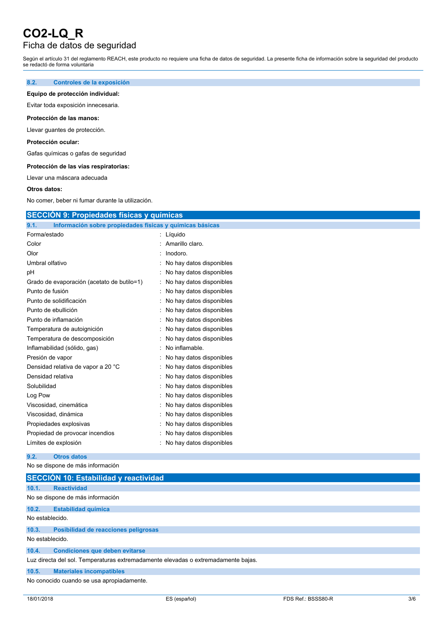### Ficha de datos de seguridad

Según el artículo 31 del reglamento REACH, este producto no requiere una ficha de datos de seguridad. La presente ficha de información sobre la seguridad del producto se redactó de forma voluntaria

#### **8.2. Controles de la exposición**

#### **Equipo de protección individual:**

Evitar toda exposición innecesaria.

#### **Protección de las manos:**

Llevar guantes de protección.

#### **Protección ocular:**

Gafas químicas o gafas de seguridad

#### **Protección de las vías respiratorias:**

Llevar una máscara adecuada

#### **Otros datos:**

No comer, beber ni fumar durante la utilización.

#### **SECCIÓN 9: Propiedades físicas y químicas**

| 9.1.<br>Información sobre propiedades físicas y químicas básicas |                          |
|------------------------------------------------------------------|--------------------------|
| Forma/estado                                                     | Líquido                  |
| Color                                                            | Amarillo claro.          |
| Olor                                                             | Inodoro.                 |
| Umbral olfativo                                                  | No hay datos disponibles |
| рH                                                               | No hay datos disponibles |
| Grado de evaporación (acetato de butilo=1)                       | No hay datos disponibles |
| Punto de fusión                                                  | No hay datos disponibles |
| Punto de solidificación                                          | No hay datos disponibles |
| Punto de ebullición                                              | No hay datos disponibles |
| Punto de inflamación                                             | No hay datos disponibles |
| Temperatura de autoignición                                      | No hay datos disponibles |
| Temperatura de descomposición                                    | No hay datos disponibles |
| Inflamabilidad (sólido, gas)                                     | No inflamable.           |
| Presión de vapor                                                 | No hay datos disponibles |
| Densidad relativa de vapor a 20 °C                               | No hay datos disponibles |
| Densidad relativa                                                | No hay datos disponibles |
| Solubilidad                                                      | No hay datos disponibles |
| Log Pow                                                          | No hay datos disponibles |
| Viscosidad, cinemática                                           | No hay datos disponibles |
| Viscosidad, dinámica                                             | No hay datos disponibles |
| Propiedades explosivas                                           | No hay datos disponibles |
| Propiedad de provocar incendios                                  | No hay datos disponibles |
| Límites de explosión                                             | No hay datos disponibles |

#### **9.2. Otros datos**

No se dispone de más información

|                 | SECCIÓN 10: Estabilidad y reactividad                                             |  |  |  |
|-----------------|-----------------------------------------------------------------------------------|--|--|--|
| 10.1.           | <b>Reactividad</b>                                                                |  |  |  |
|                 | No se dispone de más información                                                  |  |  |  |
| 10.2.           | <b>Estabilidad química</b>                                                        |  |  |  |
| No establecido. |                                                                                   |  |  |  |
| 10.3.           | Posibilidad de reacciones peligrosas                                              |  |  |  |
| No establecido. |                                                                                   |  |  |  |
| 10.4.           | <b>Condiciones que deben evitarse</b>                                             |  |  |  |
|                 | Luz directa del sol. Temperaturas extremadamente elevadas o extremadamente bajas. |  |  |  |
| 10.5.           | <b>Materiales incompatibles</b>                                                   |  |  |  |
|                 | No conocido cuando se usa apropiadamente.                                         |  |  |  |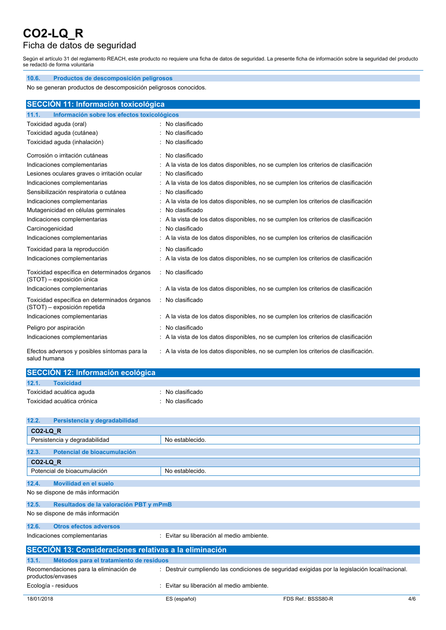## Ficha de datos de seguridad

Según el artículo 31 del reglamento REACH, este producto no requiere una ficha de datos de seguridad. La presente ficha de información sobre la seguridad del producto se redactó de forma voluntaria

| 10.6.<br>Productos de descomposición peligrosos                                                                     |                                                                                      |  |  |
|---------------------------------------------------------------------------------------------------------------------|--------------------------------------------------------------------------------------|--|--|
| No se generan productos de descomposición peligrosos conocidos.                                                     |                                                                                      |  |  |
|                                                                                                                     |                                                                                      |  |  |
| SECCIÓN 11: Información toxicológica                                                                                |                                                                                      |  |  |
| 11.1.<br>Información sobre los efectos toxicológicos                                                                |                                                                                      |  |  |
| Toxicidad aguda (oral)                                                                                              | : No clasificado                                                                     |  |  |
| Toxicidad aguda (cutánea)                                                                                           | No clasificado                                                                       |  |  |
| Toxicidad aguda (inhalación)                                                                                        | No clasificado                                                                       |  |  |
| Corrosión o irritación cutáneas                                                                                     | : No clasificado                                                                     |  |  |
| Indicaciones complementarias<br>: A la vista de los datos disponibles, no se cumplen los criterios de clasificación |                                                                                      |  |  |
| Lesiones oculares graves o irritación ocular                                                                        | No clasificado                                                                       |  |  |
| Indicaciones complementarias                                                                                        | : A la vista de los datos disponibles, no se cumplen los criterios de clasificación  |  |  |
| Sensibilización respiratoria o cutánea                                                                              | No clasificado                                                                       |  |  |
| Indicaciones complementarias                                                                                        | : A la vista de los datos disponibles, no se cumplen los criterios de clasificación  |  |  |
| Mutagenicidad en células germinales                                                                                 | : No clasificado                                                                     |  |  |
| Indicaciones complementarias                                                                                        | : A la vista de los datos disponibles, no se cumplen los criterios de clasificación  |  |  |
| Carcinogenicidad                                                                                                    | No clasificado                                                                       |  |  |
| Indicaciones complementarias                                                                                        | : A la vista de los datos disponibles, no se cumplen los criterios de clasificación  |  |  |
| Toxicidad para la reproducción                                                                                      | No clasificado                                                                       |  |  |
| Indicaciones complementarias                                                                                        | : A la vista de los datos disponibles, no se cumplen los criterios de clasificación  |  |  |
| Toxicidad específica en determinados órganos<br>(STOT) - exposición única                                           | : No clasificado                                                                     |  |  |
| Indicaciones complementarias                                                                                        | : A la vista de los datos disponibles, no se cumplen los criterios de clasificación  |  |  |
| Toxicidad específica en determinados órganos<br>(STOT) - exposición repetida                                        | : No clasificado                                                                     |  |  |
| Indicaciones complementarias                                                                                        | : A la vista de los datos disponibles, no se cumplen los criterios de clasificación  |  |  |
| Peligro por aspiración                                                                                              | : No clasificado                                                                     |  |  |
| Indicaciones complementarias                                                                                        | : A la vista de los datos disponibles, no se cumplen los criterios de clasificación  |  |  |
| Efectos adversos y posibles síntomas para la<br>salud humana                                                        | : A la vista de los datos disponibles, no se cumplen los criterios de clasificación. |  |  |

| SECCIÓN 12: Información ecológica |                |  |
|-----------------------------------|----------------|--|
| 12.1.<br><b>Toxicidad</b>         |                |  |
| Toxicidad acuática aguda          | No clasificado |  |
| Toxicidad acuática crónica        | No clasificado |  |

| 12.2.<br>Persistencia y degradabilidad                        |                                           |                                                                                                |     |
|---------------------------------------------------------------|-------------------------------------------|------------------------------------------------------------------------------------------------|-----|
| CO2-LQ R                                                      |                                           |                                                                                                |     |
| Persistencia y degradabilidad                                 | No establecido.                           |                                                                                                |     |
| Potencial de bioacumulación<br>12.3.                          |                                           |                                                                                                |     |
| CO2-LQ R                                                      |                                           |                                                                                                |     |
| Potencial de bioacumulación                                   | No establecido                            |                                                                                                |     |
| 12.4.<br>Movilidad en el suelo                                |                                           |                                                                                                |     |
| No se dispone de más información                              |                                           |                                                                                                |     |
| 12.5.<br>Resultados de la valoración PBT y mPmB               |                                           |                                                                                                |     |
| No se dispone de más información                              |                                           |                                                                                                |     |
| 12.6.<br><b>Otros efectos adversos</b>                        |                                           |                                                                                                |     |
| Indicaciones complementarias                                  | : Evitar su liberación al medio ambiente. |                                                                                                |     |
| <b>SECCIÓN 13: Consideraciones relativas a la eliminación</b> |                                           |                                                                                                |     |
| 13.1.<br>Métodos para el tratamiento de residuos              |                                           |                                                                                                |     |
| Recomendaciones para la eliminación de<br>productos/envases   |                                           | : Destruir cumpliendo las condiciones de seguridad exigidas por la legislación local/nacional. |     |
| Ecología - residuos                                           | : Evitar su liberación al medio ambiente. |                                                                                                |     |
| 18/01/2018                                                    | ES (español)                              | FDS Ref.: BSSS80-R                                                                             | 4/6 |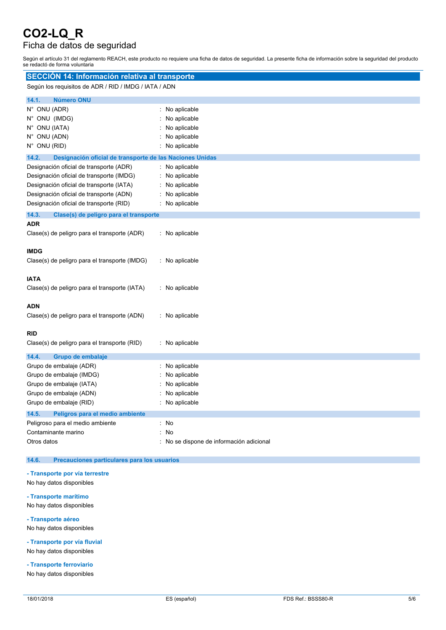## Ficha de datos de seguridad

Según el artículo 31 del reglamento REACH, este producto no requiere una ficha de datos de seguridad. La presente ficha de información sobre la seguridad del producto se redactó de forma voluntaria

| SECCIÓN 14: Información relativa al transporte                                                                                                                                                                        |                                                                                  |  |
|-----------------------------------------------------------------------------------------------------------------------------------------------------------------------------------------------------------------------|----------------------------------------------------------------------------------|--|
| Según los requisitos de ADR / RID / IMDG / IATA / ADN                                                                                                                                                                 |                                                                                  |  |
| 14.1.<br><b>Número ONU</b>                                                                                                                                                                                            |                                                                                  |  |
| N° ONU (ADR)<br>N° ONU (IMDG)<br>N° ONU (IATA)<br>N° ONU (ADN)<br>N° ONU (RID)                                                                                                                                        | : No aplicable<br>No aplicable<br>No aplicable<br>No aplicable<br>No aplicable   |  |
| 14.2.<br>Designación oficial de transporte de las Naciones Unidas                                                                                                                                                     |                                                                                  |  |
| Designación oficial de transporte (ADR)<br>Designación oficial de transporte (IMDG)<br>Designación oficial de transporte (IATA)<br>Designación oficial de transporte (ADN)<br>Designación oficial de transporte (RID) | No aplicable<br>No aplicable<br>No aplicable<br>No aplicable<br>: No aplicable   |  |
| 14.3.<br>Clase(s) de peligro para el transporte                                                                                                                                                                       |                                                                                  |  |
| ADR<br>Clase(s) de peligro para el transporte (ADR)                                                                                                                                                                   | : No aplicable                                                                   |  |
| <b>IMDG</b><br>Clase(s) de peligro para el transporte (IMDG)                                                                                                                                                          | : No aplicable                                                                   |  |
| <b>IATA</b><br>Clase(s) de peligro para el transporte (IATA)                                                                                                                                                          | : No aplicable                                                                   |  |
| ADN<br>Clase(s) de peligro para el transporte (ADN)                                                                                                                                                                   | : No aplicable                                                                   |  |
| <b>RID</b><br>Clase(s) de peligro para el transporte (RID)                                                                                                                                                            | : No aplicable                                                                   |  |
| 14.4.<br>Grupo de embalaje<br>Grupo de embalaje (ADR)<br>Grupo de embalaje (IMDG)<br>Grupo de embalaje (IATA)<br>Grupo de embalaje (ADN)<br>Grupo de embalaje (RID)                                                   | : No aplicable<br>No aplicable<br>No aplicable<br>No aplicable<br>: No aplicable |  |
| 14.5.<br>Peligros para el medio ambiente<br>Peligroso para el medio ambiente<br>Contaminante marino<br>Otros datos                                                                                                    | : No<br><b>No</b><br>: No se dispone de información adicional                    |  |

#### **14.6. Precauciones particulares para los usuarios**

#### **- Transporte por vía terrestre**

- No hay datos disponibles
- **- Transporte marítimo**

No hay datos disponibles

**- Transporte aéreo**

No hay datos disponibles

**- Transporte por vía fluvial** No hay datos disponibles

**- Transporte ferroviario**

No hay datos disponibles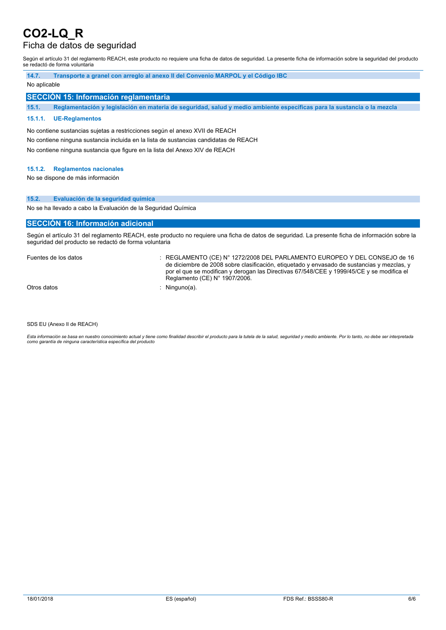### Ficha de datos de seguridad

Según el artículo 31 del reglamento REACH, este producto no requiere una ficha de datos de seguridad. La presente ficha de información sobre la seguridad del producto se redactó de forma voluntaria

| 14.7.        | Transporte a granel con arregio al anexo II del Convenio MARPOL y el Código IBC |  |  |
|--------------|---------------------------------------------------------------------------------|--|--|
| No aplicable |                                                                                 |  |  |
|              | SECCIÓN 15: Información reglamentaria                                           |  |  |

15.1. Reglamentación y legislación en materia de seguridad, salud y medio ambiente específicas para la sustancia o la mezcla

#### **15.1.1. UE-Reglamentos**

No contiene sustancias sujetas a restricciones según el anexo XVII de REACH No contiene ninguna sustancia incluida en la lista de sustancias candidatas de REACH No contiene ninguna sustancia que figure en la lista del Anexo XIV de REACH

#### **15.1.2. Reglamentos nacionales**

No se dispone de más información

#### **15.2. Evaluación de la seguridad química**

No se ha llevado a cabo la Evaluación de la Seguridad Química

#### **SECCIÓN 16: Información adicional**

Según el artículo 31 del reglamento REACH, este producto no requiere una ficha de datos de seguridad. La presente ficha de información sobre la seguridad del producto se redactó de forma voluntaria

Fuentes de los datos : REGLAMENTO (CE) N° 1272/2008 DEL PARLAMENTO EUROPEO Y DEL CONSEJO de 16 de diciembre de 2008 sobre clasificación, etiquetado y envasado de sustancias y mezclas, y por el que se modifican y derogan las Directivas 67/548/CEE y 1999/45/CE y se modifica el Reglamento (CE) N° 1907/2006.

Otros datos : Ninguno(a).

SDS EU (Anexo II de REACH)

Esta información se basa en nuestro conocimiento actual y tiene como finalidad describir el producto para la tutela de la salud, seguridad y medio ambiente. Por lo tanto, no debe ser interpretada *como garantía de ninguna característica específica del producto*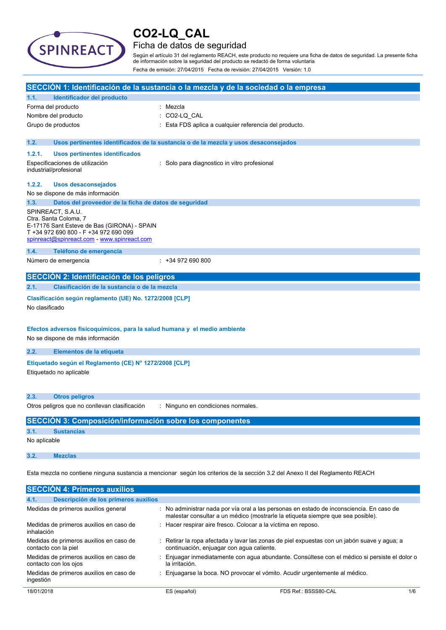

contacto con los ojos

ingestión

# **CO2-LQ\_CAL**

## Ficha de datos de seguridad

Según el artículo 31 del reglamento REACH, este producto no requiere una ficha de datos de seguridad. La presente ficha de información sobre la seguridad del producto se redactó de forma voluntaria Fecha de emisión: 27/04/2015 Fecha de revisión: 27/04/2015 Versión: 1.0

| SECCIÓN 1: Identificación de la sustancia o la mezcla y de la sociedad o la empresa                                                                                               |                                                                                                                                                                           |  |
|-----------------------------------------------------------------------------------------------------------------------------------------------------------------------------------|---------------------------------------------------------------------------------------------------------------------------------------------------------------------------|--|
| Identificador del producto<br>1.1.                                                                                                                                                |                                                                                                                                                                           |  |
| Forma del producto                                                                                                                                                                | : Mezcla                                                                                                                                                                  |  |
| Nombre del producto                                                                                                                                                               | CO2-LQ CAL                                                                                                                                                                |  |
| Grupo de productos                                                                                                                                                                | Esta FDS aplica a cualquier referencia del producto.                                                                                                                      |  |
| 1.2.                                                                                                                                                                              | Usos pertinentes identificados de la sustancia o de la mezcla y usos desaconsejados                                                                                       |  |
| 1.2.1.<br><b>Usos pertinentes identificados</b>                                                                                                                                   |                                                                                                                                                                           |  |
| Especificaciones de utilización<br>industrial/profesional                                                                                                                         | : Solo para diagnostico in vitro profesional                                                                                                                              |  |
| 1.2.2.<br>Usos desaconsejados                                                                                                                                                     |                                                                                                                                                                           |  |
| No se dispone de más información                                                                                                                                                  |                                                                                                                                                                           |  |
| 1.3.<br>Datos del proveedor de la ficha de datos de seguridad                                                                                                                     |                                                                                                                                                                           |  |
| SPINREACT, S.A.U.<br>Ctra. Santa Coloma, 7<br>E-17176 Sant Esteve de Bas (GIRONA) - SPAIN<br>T +34 972 690 800 - F +34 972 690 099<br>spinreact@spinreact.com - www.spinreact.com |                                                                                                                                                                           |  |
| 1.4.<br>Teléfono de emergencia                                                                                                                                                    |                                                                                                                                                                           |  |
| Número de emergencia                                                                                                                                                              | $: +34972690800$                                                                                                                                                          |  |
| SECCIÓN 2: Identificación de los peligros                                                                                                                                         |                                                                                                                                                                           |  |
| Clasificación de la sustancia o de la mezcla<br>2.1.                                                                                                                              |                                                                                                                                                                           |  |
| Clasificación según reglamento (UE) No. 1272/2008 [CLP]<br>No clasificado                                                                                                         |                                                                                                                                                                           |  |
| Efectos adversos fisicoquímicos, para la salud humana y el medio ambiente<br>No se dispone de más información                                                                     |                                                                                                                                                                           |  |
| 2.2.<br>Elementos de la etiqueta                                                                                                                                                  |                                                                                                                                                                           |  |
| Etiquetado según el Reglamento (CE) Nº 1272/2008 [CLP]<br>Etiquetado no aplicable                                                                                                 |                                                                                                                                                                           |  |
| 2.3.<br><b>Otros peligros</b>                                                                                                                                                     |                                                                                                                                                                           |  |
| Otros peligros que no conllevan clasificación                                                                                                                                     | : Ninguno en condiciones normales.                                                                                                                                        |  |
| <b>SECCIÓN 3: Composición/información sobre los componentes</b>                                                                                                                   |                                                                                                                                                                           |  |
| 3.1.<br><b>Sustancias</b>                                                                                                                                                         |                                                                                                                                                                           |  |
| No aplicable                                                                                                                                                                      |                                                                                                                                                                           |  |
| 3.2.<br><b>Mezclas</b>                                                                                                                                                            |                                                                                                                                                                           |  |
| Esta mezcla no contiene ninguna sustancia a mencionar según los criterios de la sección 3.2 del Anexo II del Reglamento REACH                                                     |                                                                                                                                                                           |  |
| <b>SECCIÓN 4: Primeros auxilios</b>                                                                                                                                               |                                                                                                                                                                           |  |
| Descripción de los primeros auxilios<br>4.1.                                                                                                                                      |                                                                                                                                                                           |  |
| Medidas de primeros auxilios general                                                                                                                                              | No administrar nada por vía oral a las personas en estado de inconsciencia. En caso de<br>malestar consultar a un médico (mostrarle la etiqueta siempre que sea posible). |  |
| Medidas de primeros auxilios en caso de<br>inhalación                                                                                                                             | Hacer respirar aire fresco. Colocar a la víctima en reposo.                                                                                                               |  |
| Medidas de primeros auxilios en caso de<br>contacto con la piel                                                                                                                   | Retirar la ropa afectada y lavar las zonas de piel expuestas con un jabón suave y agua; a<br>continuación, enjuagar con agua caliente.                                    |  |
| Medidas de primeros auxilios en caso de                                                                                                                                           | Enjuagar inmediatamente con agua abundante. Consúltese con el médico si persiste el dolor o                                                                               |  |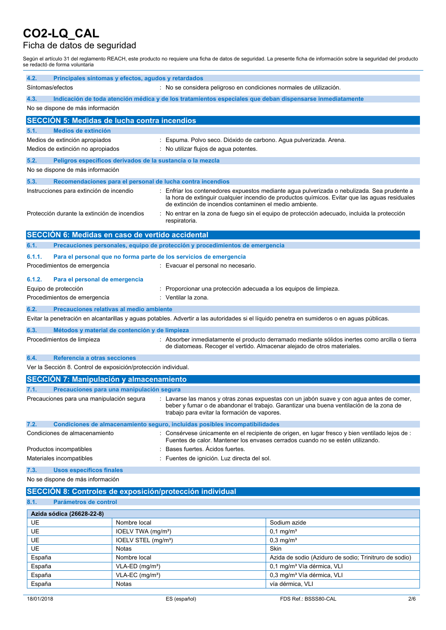### Ficha de datos de seguridad

Según el artículo 31 del reglamento REACH, este producto no requiere una ficha de datos de seguridad. La presente ficha de información sobre la seguridad del producto se redactó de forma voluntaria

| 4.2.                                                                                     | Principales síntomas y efectos, agudos y retardados<br>Síntomas/efectos<br>: No se considera peligroso en condiciones normales de utilización.                                                                                                                                    |                                                                          |                                                                                                                                                                                                                                                                                           |                                                                                                                                             |
|------------------------------------------------------------------------------------------|-----------------------------------------------------------------------------------------------------------------------------------------------------------------------------------------------------------------------------------------------------------------------------------|--------------------------------------------------------------------------|-------------------------------------------------------------------------------------------------------------------------------------------------------------------------------------------------------------------------------------------------------------------------------------------|---------------------------------------------------------------------------------------------------------------------------------------------|
| 4.3.                                                                                     | Indicación de toda atención médica y de los tratamientos especiales que deban dispensarse inmediatamente                                                                                                                                                                          |                                                                          |                                                                                                                                                                                                                                                                                           |                                                                                                                                             |
|                                                                                          | No se dispone de más información                                                                                                                                                                                                                                                  |                                                                          |                                                                                                                                                                                                                                                                                           |                                                                                                                                             |
|                                                                                          | <b>SECCIÓN 5: Medidas de lucha contra incendios</b>                                                                                                                                                                                                                               |                                                                          |                                                                                                                                                                                                                                                                                           |                                                                                                                                             |
| 5.1.                                                                                     | <b>Medios de extinción</b>                                                                                                                                                                                                                                                        |                                                                          |                                                                                                                                                                                                                                                                                           |                                                                                                                                             |
|                                                                                          | Medios de extinción apropiados                                                                                                                                                                                                                                                    |                                                                          | : Espuma. Polvo seco. Dióxido de carbono. Agua pulverizada. Arena.                                                                                                                                                                                                                        |                                                                                                                                             |
|                                                                                          | Medios de extinción no apropiados                                                                                                                                                                                                                                                 |                                                                          | : No utilizar flujos de agua potentes.                                                                                                                                                                                                                                                    |                                                                                                                                             |
| 5.2.                                                                                     | Peligros específicos derivados de la sustancia o la mezcla                                                                                                                                                                                                                        |                                                                          |                                                                                                                                                                                                                                                                                           |                                                                                                                                             |
|                                                                                          | No se dispone de más información                                                                                                                                                                                                                                                  |                                                                          |                                                                                                                                                                                                                                                                                           |                                                                                                                                             |
|                                                                                          |                                                                                                                                                                                                                                                                                   |                                                                          |                                                                                                                                                                                                                                                                                           |                                                                                                                                             |
| 5.3.                                                                                     |                                                                                                                                                                                                                                                                                   |                                                                          | Recomendaciones para el personal de lucha contra incendios                                                                                                                                                                                                                                |                                                                                                                                             |
| Instrucciones para extinción de incendio<br>Protección durante la extinción de incendios |                                                                                                                                                                                                                                                                                   | de extinción de incendios contaminen el medio ambiente.<br>respiratoria. | Enfriar los contenedores expuestos mediante agua pulverizada o nebulizada. Sea prudente a<br>la hora de extinguir cualquier incendio de productos químicos. Evitar que las aguas residuales<br>No entrar en la zona de fuego sin el equipo de protección adecuado, incluida la protección |                                                                                                                                             |
|                                                                                          | SECCIÓN 6: Medidas en caso de vertido accidental                                                                                                                                                                                                                                  |                                                                          |                                                                                                                                                                                                                                                                                           |                                                                                                                                             |
| 6.1.                                                                                     |                                                                                                                                                                                                                                                                                   |                                                                          | Precauciones personales, equipo de protección y procedimientos de emergencia                                                                                                                                                                                                              |                                                                                                                                             |
|                                                                                          |                                                                                                                                                                                                                                                                                   |                                                                          |                                                                                                                                                                                                                                                                                           |                                                                                                                                             |
| 6.1.1.                                                                                   |                                                                                                                                                                                                                                                                                   |                                                                          | Para el personal que no forma parte de los servicios de emergencia                                                                                                                                                                                                                        |                                                                                                                                             |
|                                                                                          | Procedimientos de emergencia                                                                                                                                                                                                                                                      |                                                                          | : Evacuar el personal no necesario.                                                                                                                                                                                                                                                       |                                                                                                                                             |
| 6.1.2.                                                                                   | Para el personal de emergencia                                                                                                                                                                                                                                                    |                                                                          |                                                                                                                                                                                                                                                                                           |                                                                                                                                             |
|                                                                                          | Equipo de protección                                                                                                                                                                                                                                                              |                                                                          | Proporcionar una protección adecuada a los equipos de limpieza.                                                                                                                                                                                                                           |                                                                                                                                             |
|                                                                                          | Procedimientos de emergencia                                                                                                                                                                                                                                                      |                                                                          | : Ventilar la zona.                                                                                                                                                                                                                                                                       |                                                                                                                                             |
|                                                                                          |                                                                                                                                                                                                                                                                                   |                                                                          |                                                                                                                                                                                                                                                                                           |                                                                                                                                             |
| 6.2.                                                                                     | Precauciones relativas al medio ambiente                                                                                                                                                                                                                                          |                                                                          |                                                                                                                                                                                                                                                                                           |                                                                                                                                             |
|                                                                                          |                                                                                                                                                                                                                                                                                   |                                                                          |                                                                                                                                                                                                                                                                                           | Evitar la penetración en alcantarillas y aguas potables. Advertir a las autoridades si el líquido penetra en sumideros o en aguas públicas. |
| 6.3.                                                                                     | Métodos y material de contención y de limpieza                                                                                                                                                                                                                                    |                                                                          |                                                                                                                                                                                                                                                                                           |                                                                                                                                             |
|                                                                                          | Procedimientos de limpieza<br>: Absorber inmediatamente el producto derramado mediante sólidos inertes como arcilla o tierra<br>de diatomeas. Recoger el vertido. Almacenar alejado de otros materiales.                                                                          |                                                                          |                                                                                                                                                                                                                                                                                           |                                                                                                                                             |
| 6.4.                                                                                     | Referencia a otras secciones                                                                                                                                                                                                                                                      |                                                                          |                                                                                                                                                                                                                                                                                           |                                                                                                                                             |
|                                                                                          | Ver la Sección 8. Control de exposición/protección individual.                                                                                                                                                                                                                    |                                                                          |                                                                                                                                                                                                                                                                                           |                                                                                                                                             |
|                                                                                          | <b>SECCIÓN 7: Manipulación y almacenamiento</b>                                                                                                                                                                                                                                   |                                                                          |                                                                                                                                                                                                                                                                                           |                                                                                                                                             |
| 7.1.                                                                                     | Precauciones para una manipulación segura                                                                                                                                                                                                                                         |                                                                          |                                                                                                                                                                                                                                                                                           |                                                                                                                                             |
|                                                                                          | Precauciones para una manipulación segura<br>: Lavarse las manos y otras zonas expuestas con un jabón suave y con agua antes de comer,<br>beber y fumar o de abandonar el trabajo. Garantizar una buena ventilación de la zona de<br>trabajo para evitar la formación de vapores. |                                                                          |                                                                                                                                                                                                                                                                                           |                                                                                                                                             |
| 7.2.                                                                                     |                                                                                                                                                                                                                                                                                   |                                                                          | Condiciones de almacenamiento seguro, incluidas posibles incompatibilidades                                                                                                                                                                                                               |                                                                                                                                             |
|                                                                                          | : Consérvese únicamente en el recipiente de origen, en lugar fresco y bien ventilado lejos de :<br>Condiciones de almacenamiento<br>Fuentes de calor. Mantener los envases cerrados cuando no se estén utilizando.                                                                |                                                                          |                                                                                                                                                                                                                                                                                           |                                                                                                                                             |
|                                                                                          | Productos incompatibles                                                                                                                                                                                                                                                           |                                                                          | Bases fuertes. Acidos fuertes.                                                                                                                                                                                                                                                            |                                                                                                                                             |
|                                                                                          | Materiales incompatibles                                                                                                                                                                                                                                                          |                                                                          | : Fuentes de ignición. Luz directa del sol.                                                                                                                                                                                                                                               |                                                                                                                                             |
| 7.3.                                                                                     | Usos específicos finales                                                                                                                                                                                                                                                          |                                                                          |                                                                                                                                                                                                                                                                                           |                                                                                                                                             |
|                                                                                          | No se dispone de más información                                                                                                                                                                                                                                                  |                                                                          |                                                                                                                                                                                                                                                                                           |                                                                                                                                             |
|                                                                                          |                                                                                                                                                                                                                                                                                   |                                                                          |                                                                                                                                                                                                                                                                                           |                                                                                                                                             |
|                                                                                          |                                                                                                                                                                                                                                                                                   |                                                                          | SECCIÓN 8: Controles de exposición/protección individual                                                                                                                                                                                                                                  |                                                                                                                                             |
|                                                                                          | 8.1.<br>Parámetros de control                                                                                                                                                                                                                                                     |                                                                          |                                                                                                                                                                                                                                                                                           |                                                                                                                                             |
|                                                                                          | Azida sódica (26628-22-8)                                                                                                                                                                                                                                                         |                                                                          |                                                                                                                                                                                                                                                                                           |                                                                                                                                             |
| UE                                                                                       |                                                                                                                                                                                                                                                                                   | Nombre local                                                             |                                                                                                                                                                                                                                                                                           | Sodium azide                                                                                                                                |
| UE                                                                                       |                                                                                                                                                                                                                                                                                   | IOELV TWA (mg/m <sup>3</sup> )                                           |                                                                                                                                                                                                                                                                                           | $0,1 \,\mathrm{mg/m^3}$                                                                                                                     |
| UE                                                                                       |                                                                                                                                                                                                                                                                                   | IOELV STEL (mg/m <sup>3</sup> )                                          |                                                                                                                                                                                                                                                                                           | $0,3$ mg/m <sup>3</sup>                                                                                                                     |
| UE                                                                                       |                                                                                                                                                                                                                                                                                   | Notas                                                                    |                                                                                                                                                                                                                                                                                           | Skin                                                                                                                                        |
| España                                                                                   |                                                                                                                                                                                                                                                                                   | Nombre local                                                             |                                                                                                                                                                                                                                                                                           | Azida de sodio (Aziduro de sodio; Trinitruro de sodio)                                                                                      |
| España                                                                                   |                                                                                                                                                                                                                                                                                   | $VLA-ED$ (mg/m <sup>3</sup> )                                            |                                                                                                                                                                                                                                                                                           | 0,1 mg/m <sup>3</sup> Vía dérmica, VLI                                                                                                      |
| España                                                                                   |                                                                                                                                                                                                                                                                                   | VLA-EC (mg/m <sup>3</sup> )                                              |                                                                                                                                                                                                                                                                                           | 0,3 mg/m <sup>3</sup> Vía dérmica, VLI                                                                                                      |
| España                                                                                   |                                                                                                                                                                                                                                                                                   | Notas                                                                    |                                                                                                                                                                                                                                                                                           | vía dérmica, VLI                                                                                                                            |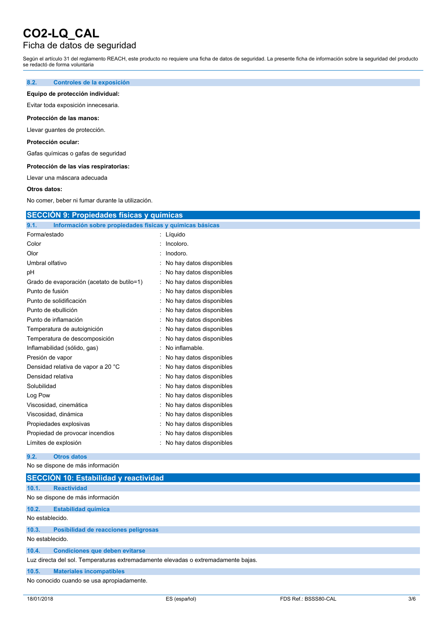### Ficha de datos de seguridad

Según el artículo 31 del reglamento REACH, este producto no requiere una ficha de datos de seguridad. La presente ficha de información sobre la seguridad del producto se redactó de forma voluntaria

#### **8.2. Controles de la exposición**

#### **Equipo de protección individual:**

Evitar toda exposición innecesaria.

#### **Protección de las manos:**

Llevar guantes de protección.

#### **Protección ocular:**

Gafas químicas o gafas de seguridad

#### **Protección de las vías respiratorias:**

Llevar una máscara adecuada

#### **Otros datos:**

No comer, beber ni fumar durante la utilización.

## **SECCIÓN 9: Propiedades físicas y químicas**

| 9.1.<br>Información sobre propiedades físicas y químicas básicas |                          |
|------------------------------------------------------------------|--------------------------|
| Forma/estado                                                     | Líquido<br>÷             |
| Color                                                            | Incoloro.                |
| Olor                                                             | Inodoro.                 |
| Umbral olfativo                                                  | No hay datos disponibles |
| рH                                                               | No hay datos disponibles |
| Grado de evaporación (acetato de butilo=1)                       | No hay datos disponibles |
| Punto de fusión                                                  | No hay datos disponibles |
| Punto de solidificación                                          | No hay datos disponibles |
| Punto de ebullición                                              | No hay datos disponibles |
| Punto de inflamación                                             | No hay datos disponibles |
| Temperatura de autoignición                                      | No hay datos disponibles |
| Temperatura de descomposición                                    | No hay datos disponibles |
| Inflamabilidad (sólido, gas)                                     | No inflamable.           |
| Presión de vapor                                                 | No hay datos disponibles |
| Densidad relativa de vapor a 20 °C                               | No hay datos disponibles |
| Densidad relativa                                                | No hay datos disponibles |
| Solubilidad                                                      | No hay datos disponibles |
| Log Pow                                                          | No hay datos disponibles |
| Viscosidad, cinemática                                           | No hay datos disponibles |
| Viscosidad, dinámica                                             | No hay datos disponibles |
| Propiedades explosivas                                           | No hay datos disponibles |
| Propiedad de provocar incendios                                  | No hay datos disponibles |
| Límites de explosión                                             | No hay datos disponibles |

#### **9.2. Otros datos**

No se dispone de más información

|                 | SECCIÓN 10: Estabilidad y reactividad                                             |  |
|-----------------|-----------------------------------------------------------------------------------|--|
| 10.1.           | <b>Reactividad</b>                                                                |  |
|                 | No se dispone de más información                                                  |  |
| 10.2.           | <b>Estabilidad química</b>                                                        |  |
| No establecido. |                                                                                   |  |
| 10.3.           | Posibilidad de reacciones peligrosas                                              |  |
| No establecido. |                                                                                   |  |
| 10.4.           | <b>Condiciones que deben evitarse</b>                                             |  |
|                 | Luz directa del sol. Temperaturas extremadamente elevadas o extremadamente bajas. |  |
| 10.5.           | <b>Materiales incompatibles</b>                                                   |  |
|                 | No conocido cuando se usa apropiadamente.                                         |  |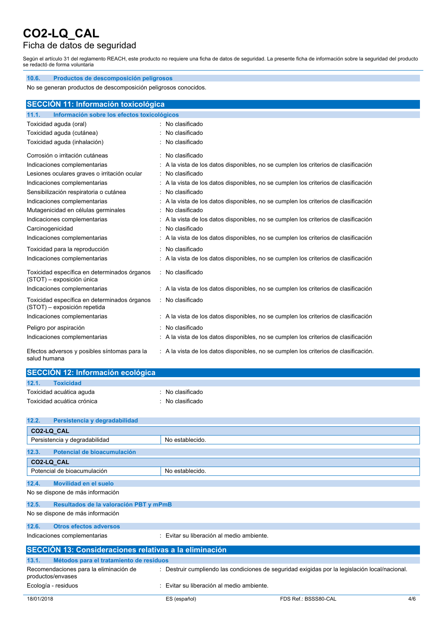ł,

## Ficha de datos de seguridad

Según el artículo 31 del reglamento REACH, este producto no requiere una ficha de datos de seguridad. La presente ficha de información sobre la seguridad del producto se redactó de forma voluntaria

| 10.6.<br>Productos de descomposición peligrosos                                                                     |                                                                                      |  |  |
|---------------------------------------------------------------------------------------------------------------------|--------------------------------------------------------------------------------------|--|--|
| No se generan productos de descomposición peligrosos conocidos.                                                     |                                                                                      |  |  |
|                                                                                                                     |                                                                                      |  |  |
| SECCIÓN 11: Información toxicológica                                                                                |                                                                                      |  |  |
| Información sobre los efectos toxicológicos<br>11.1.                                                                |                                                                                      |  |  |
| Toxicidad aguda (oral)                                                                                              | : No clasificado                                                                     |  |  |
| Toxicidad aguda (cutánea)                                                                                           | : No clasificado                                                                     |  |  |
| Toxicidad aguda (inhalación)                                                                                        | No clasificado                                                                       |  |  |
| Corrosión o irritación cutáneas                                                                                     | : No clasificado                                                                     |  |  |
| Indicaciones complementarias                                                                                        | : A la vista de los datos disponibles, no se cumplen los criterios de clasificación  |  |  |
| Lesiones oculares graves o irritación ocular                                                                        | : No clasificado                                                                     |  |  |
| Indicaciones complementarias<br>: A la vista de los datos disponibles, no se cumplen los criterios de clasificación |                                                                                      |  |  |
| : No clasificado<br>Sensibilización respiratoria o cutánea                                                          |                                                                                      |  |  |
| Indicaciones complementarias                                                                                        | : A la vista de los datos disponibles, no se cumplen los criterios de clasificación  |  |  |
| Mutagenicidad en células germinales                                                                                 | : No clasificado                                                                     |  |  |
| Indicaciones complementarias                                                                                        | : A la vista de los datos disponibles, no se cumplen los criterios de clasificación  |  |  |
| Carcinogenicidad                                                                                                    | No clasificado                                                                       |  |  |
| Indicaciones complementarias                                                                                        | : A la vista de los datos disponibles, no se cumplen los criterios de clasificación  |  |  |
| Toxicidad para la reproducción                                                                                      | : No clasificado                                                                     |  |  |
| Indicaciones complementarias                                                                                        | : A la vista de los datos disponibles, no se cumplen los criterios de clasificación  |  |  |
| Toxicidad específica en determinados órganos<br>(STOT) - exposición única                                           | : No clasificado                                                                     |  |  |
| Indicaciones complementarias                                                                                        | : A la vista de los datos disponibles, no se cumplen los criterios de clasificación  |  |  |
| Toxicidad específica en determinados órganos<br>(STOT) - exposición repetida                                        | : No clasificado                                                                     |  |  |
| Indicaciones complementarias                                                                                        | : A la vista de los datos disponibles, no se cumplen los criterios de clasificación  |  |  |
| Peligro por aspiración                                                                                              | No clasificado                                                                       |  |  |
| Indicaciones complementarias                                                                                        | : A la vista de los datos disponibles, no se cumplen los criterios de clasificación  |  |  |
| Efectos adversos y posibles síntomas para la<br>salud humana                                                        | : A la vista de los datos disponibles, no se cumplen los criterios de clasificación. |  |  |

| SECCIÓN 12: Información ecológica |                |  |
|-----------------------------------|----------------|--|
| 12.1.<br><b>Toxicidad</b>         |                |  |
| Toxicidad acuática aguda          | No clasificado |  |
| Toxicidad acuática crónica        | No clasificado |  |

| 12.2.      | Persistencia y degradabilidad                               |                                              |                                                                                                |     |
|------------|-------------------------------------------------------------|----------------------------------------------|------------------------------------------------------------------------------------------------|-----|
|            | CO2-LQ CAL                                                  |                                              |                                                                                                |     |
|            | Persistencia y degradabilidad                               | No establecido.                              |                                                                                                |     |
| 12.3.      | Potencial de bioacumulación                                 |                                              |                                                                                                |     |
|            | CO2-LQ CAL                                                  |                                              |                                                                                                |     |
|            | Potencial de bioacumulación                                 | No establecido.                              |                                                                                                |     |
| 12.4.      | Movilidad en el suelo                                       |                                              |                                                                                                |     |
|            | No se dispone de más información                            |                                              |                                                                                                |     |
| 12.5.      | Resultados de la valoración PBT y mPmB                      |                                              |                                                                                                |     |
|            | No se dispone de más información                            |                                              |                                                                                                |     |
| 12.6.      | Otros efectos adversos                                      |                                              |                                                                                                |     |
|            | Indicaciones complementarias                                | : Evitar su liberación al medio ambiente.    |                                                                                                |     |
|            | SECCIÓN 13: Consideraciones relativas a la eliminación      |                                              |                                                                                                |     |
| 13.1.      | Métodos para el tratamiento de residuos                     |                                              |                                                                                                |     |
|            | Recomendaciones para la eliminación de<br>productos/envases |                                              | : Destruir cumpliendo las condiciones de seguridad exigidas por la legislación local/nacional. |     |
|            | Ecología - residuos                                         | Evitar su liberación al medio ambiente.<br>٠ |                                                                                                |     |
| 18/01/2018 |                                                             | ES (español)                                 | FDS Ref.: BSSS80-CAL                                                                           | 4/6 |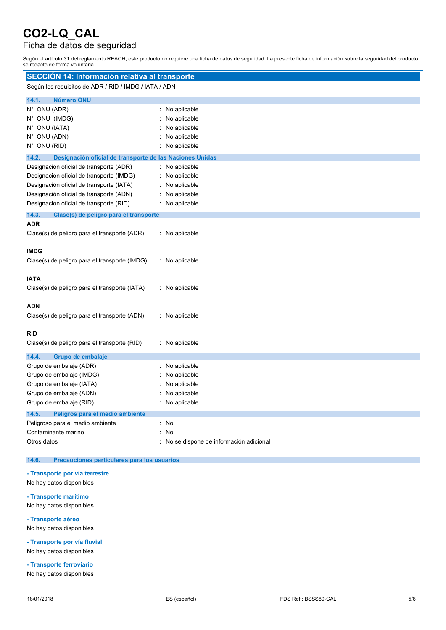## Ficha de datos de seguridad

Según el artículo 31 del reglamento REACH, este producto no requiere una ficha de datos de seguridad. La presente ficha de información sobre la seguridad del producto se redactó de forma voluntaria

| SECCIÓN 14: Información relativa al transporte                                                                                                                                                                        |                                                                                |
|-----------------------------------------------------------------------------------------------------------------------------------------------------------------------------------------------------------------------|--------------------------------------------------------------------------------|
| Según los requisitos de ADR / RID / IMDG / IATA / ADN                                                                                                                                                                 |                                                                                |
| <b>Número ONU</b><br>14.1.<br>N° ONU (ADR)<br>N° ONU (IMDG)<br>N° ONU (IATA)<br>N° ONU (ADN)<br>N° ONU (RID)                                                                                                          | No aplicable<br>No aplicable<br>No aplicable<br>No aplicable<br>No aplicable   |
| 14.2.<br>Designación oficial de transporte de las Naciones Unidas                                                                                                                                                     |                                                                                |
| Designación oficial de transporte (ADR)<br>Designación oficial de transporte (IMDG)<br>Designación oficial de transporte (IATA)<br>Designación oficial de transporte (ADN)<br>Designación oficial de transporte (RID) | No aplicable<br>No aplicable<br>No aplicable<br>No aplicable<br>No aplicable   |
| 14.3.<br>Clase(s) de peligro para el transporte                                                                                                                                                                       |                                                                                |
| <b>ADR</b><br>Clase(s) de peligro para el transporte (ADR)                                                                                                                                                            | : No aplicable                                                                 |
| <b>IMDG</b><br>Clase(s) de peligro para el transporte (IMDG)                                                                                                                                                          | : No aplicable                                                                 |
| <b>IATA</b><br>Clase(s) de peligro para el transporte (IATA)                                                                                                                                                          | : No aplicable                                                                 |
| <b>ADN</b><br>Clase(s) de peligro para el transporte (ADN)                                                                                                                                                            | : No aplicable                                                                 |
| <b>RID</b><br>Clase(s) de peligro para el transporte (RID)                                                                                                                                                            | : No aplicable                                                                 |
| 14.4.<br>Grupo de embalaje<br>Grupo de embalaje (ADR)<br>Grupo de embalaje (IMDG)<br>Grupo de embalaje (IATA)<br>Grupo de embalaje (ADN)<br>Grupo de embalaje (RID)                                                   | No aplicable<br>No aplicable<br>No aplicable<br>No aplicable<br>: No aplicable |
| 14.5.<br>Peligros para el medio ambiente<br>Peligroso para el medio ambiente<br>Contaminante marino<br>Otros datos                                                                                                    | : No<br>No<br>No se dispone de información adicional                           |

#### **14.6. Precauciones particulares para los usuarios**

#### **- Transporte por vía terrestre**

- No hay datos disponibles
- **- Transporte marítimo**

No hay datos disponibles

**- Transporte aéreo**

No hay datos disponibles

**- Transporte por vía fluvial** No hay datos disponibles

**- Transporte ferroviario**

No hay datos disponibles